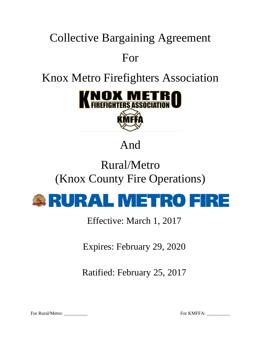# Collective Bargaining Agreement For

# Knox Metro Firefighters Association



# And

# Rural/Metro (Knox County Fire Operations)



Effective: March 1, 2017

Expires: February 29, 2020

Ratified: February 25, 2017

For Rural/Metro: \_\_\_\_\_\_\_\_\_\_ For KMFFA: \_\_\_\_\_\_\_\_\_\_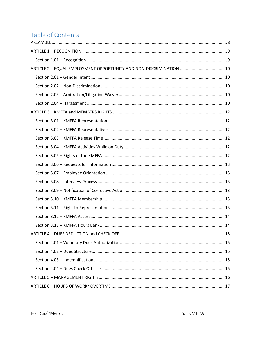# Table of Contents

| ARTICLE 2 - EQUAL EMPLOYMENT OPPORTUNITY AND NON-DISCRIMINATION  10 |  |
|---------------------------------------------------------------------|--|
|                                                                     |  |
|                                                                     |  |
|                                                                     |  |
|                                                                     |  |
|                                                                     |  |
|                                                                     |  |
|                                                                     |  |
|                                                                     |  |
|                                                                     |  |
|                                                                     |  |
|                                                                     |  |
|                                                                     |  |
|                                                                     |  |
|                                                                     |  |
|                                                                     |  |
|                                                                     |  |
|                                                                     |  |
|                                                                     |  |
|                                                                     |  |
|                                                                     |  |
|                                                                     |  |
|                                                                     |  |
|                                                                     |  |
|                                                                     |  |
|                                                                     |  |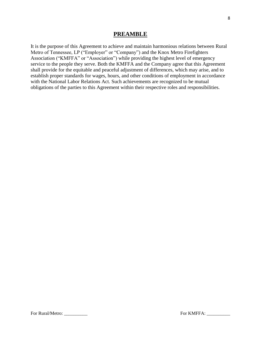# **PREAMBLE**

<span id="page-7-0"></span>It is the purpose of this Agreement to achieve and maintain harmonious relations between Rural Metro of Tennessee, LP ("Employer" or "Company") and the Knox Metro Firefighters Association ("KMFFA" or "Association") while providing the highest level of emergency service to the people they serve. Both the KMFFA and the Company agree that this Agreement shall provide for the equitable and peaceful adjustment of differences, which may arise, and to establish proper standards for wages, hours, and other conditions of employment in accordance with the National Labor Relations Act. Such achievements are recognized to be mutual obligations of the parties to this Agreement within their respective roles and responsibilities.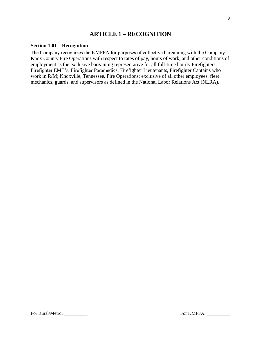# **ARTICLE 1 – RECOGNITION**

#### <span id="page-8-1"></span><span id="page-8-0"></span>**Section 1.01 – Recognition**

The Company recognizes the KMFFA for purposes of collective bargaining with the Company's Knox County Fire Operations with respect to rates of pay, hours of work, and other conditions of employment as the exclusive bargaining representative for all full-time hourly Firefighters, Firefighter EMT's, Firefighter Paramedics, Firefighter Lieutenants, Firefighter Captains who work in R/M; Knoxville, Tennessee, Fire Operations; exclusive of all other employees, fleet mechanics, guards, and supervisors as defined in the National Labor Relations Act (NLRA).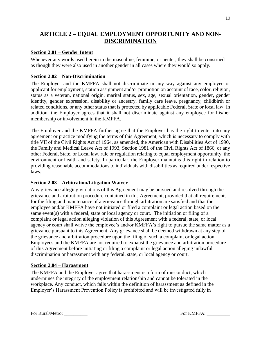# <span id="page-9-0"></span>**ARTICLE 2 – EQUAL EMPLOYMENT OPPORTUNITY AND NON-DISCRIMINATION**

#### <span id="page-9-1"></span>**Section 2.01 – Gender Intent**

Whenever any words used herein in the masculine, feminine, or neuter, they shall be construed as though they were also used in another gender in all cases where they would so apply.

#### <span id="page-9-2"></span>**Section 2.02 – Non-Discrimination**

The Employer and the KMFFA shall not discriminate in any way against any employee or applicant for employment, station assignment and/or promotion on account of race, color, religion, status as a veteran, national origin, marital status, sex, age, sexual orientation, gender, gender identity, gender expression, disability or ancestry, family care leave, pregnancy, childbirth or related conditions, or any other status that is protected by applicable Federal, State or local law. In addition, the Employer agrees that it shall not discriminate against any employee for his/her membership or involvement in the KMFFA.

The Employer and the KMFFA further agree that the Employer has the right to enter into any agreement or practice modifying the terms of this Agreement, which is necessary to comply with title VII of the Civil Rights Act of 1964, as amended, the American with Disabilities Act of 1990, the Family and Medical Leave Act of 1993, Section 1981 of the Civil Rights Act of 1866, or any other Federal, State, or Local law, rule or regulation relating to equal employment opportunity, the environment or health and safety. In particular, the Employer maintains this right in relation to providing reasonable accommodations to individuals with disabilities as required under respective laws.

#### <span id="page-9-3"></span>**Section 2.03 – Arbitration/Litigation Waiver**

Any grievance alleging violations of this Agreement may be pursued and resolved through the grievance and arbitration procedure contained in this Agreement, provided that all requirements for the filing and maintenance of a grievance through arbitration are satisfied and that the employee and/or KMFFA have not initiated or filed a complaint or legal action based on the same event(s) with a federal, state or local agency or court. The initiation or filing of a complaint or legal action alleging violation of this Agreement with a federal, state, or local agency or court shall waive the employee's and/or KMFFA's right to pursue the same matter as a grievance pursuant to this Agreement. Any grievance shall be deemed withdrawn at any step of the grievance and arbitration procedure upon the filing of such a complaint or legal action. Employees and the KMFFA are not required to exhaust the grievance and arbitration procedure of this Agreement before initiating or filing a complaint or legal action alleging unlawful discrimination or harassment with any federal, state, or local agency or court.

#### <span id="page-9-4"></span>**Section 2.04 – Harassment**

The KMFFA and the Employer agree that harassment is a form of misconduct, which undermines the integrity of the employment relationship and cannot be tolerated in the workplace. Any conduct, which falls within the definition of harassment as defined in the Employer's Harassment Prevention Policy is prohibited and will be investigated fully in

For Rural/Metro: \_\_\_\_\_\_\_\_\_\_ For KMFFA: \_\_\_\_\_\_\_\_\_\_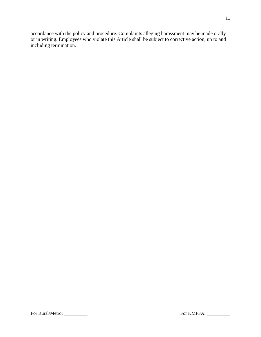accordance with the policy and procedure. Complaints alleging harassment may be made orally or in writing. Employees who violate this Article shall be subject to corrective action, up to and including termination.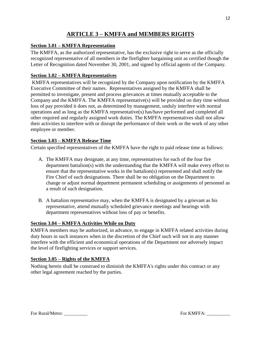# **ARTICLE 3 – KMFFA and MEMBERS RIGHTS**

## <span id="page-11-1"></span><span id="page-11-0"></span>**Section 3.01 – KMFFA Representation**

The KMFFA, as the authorized representative, has the exclusive right to serve as the officially recognized representative of all members in the firefighter bargaining unit as certified though the Letter of Recognition dated November 30, 2001, and signed by official agents of the Company.

#### <span id="page-11-2"></span>**Section 3.02 – KMFFA Representatives**

KMFFA representatives will be recognized by the Company upon notification by the KMFFA Executive Committee of their names. Representatives assigned by the KMFFA shall be permitted to investigate, present and process grievances at times mutually acceptable to the Company and the KMFFA. The KMFFA representative(s) will be provided on duty time without loss of pay provided it does not, as determined by management, unduly interfere with normal operations and as long as the KMFFA representative(s) has/have performed and completed all other required and regularly assigned work duties. The KMFFA representatives shall not allow their activities to interfere with or disrupt the performance of their work or the work of any other employee or member.

#### <span id="page-11-3"></span>**Section 3.03 – KMFFA Release Time**

Certain specified representatives of the KMFFA have the right to paid release time as follows:

- A. The KMFFA may designate, at any time, representatives for each of the four fire department battalion(s) with the understanding that the KMFFA will make every effort to ensure that the representative works in the battalion(s) represented and shall notify the Fire Chief of such designations. There shall be no obligation on the Department to change or adjust normal department permanent scheduling or assignments of personnel as a result of such designation.
- B. A battalion representative may, when the KMFFA is designated by a grievant as his representative, attend mutually scheduled grievance meetings and hearings with department representatives without loss of pay or benefits.

# <span id="page-11-4"></span>**Section 3.04 – KMFFA Activities While on Duty**

KMFFA members may be authorized, in advance, to engage in KMFFA related activities during duty hours in such instances when in the discretion of the Chief such will not in any manner interfere with the efficient and economical operations of the Department nor adversely impact the level of firefighting services or support services.

# <span id="page-11-5"></span>**Section 3.05 – Rights of the KMFFA**

Nothing herein shall be construed to diminish the KMFFA's rights under this contract or any other legal agreement reached by the parties.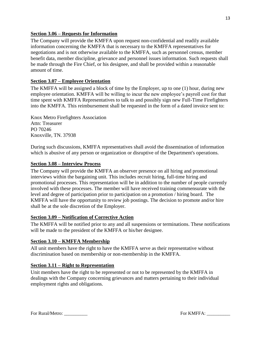#### <span id="page-12-0"></span>**Section 3.06 – Requests for Information**

The Company will provide the KMFFA upon request non-confidential and readily available information concerning the KMFFA that is necessary to the KMFFA representatives for negotiations and is not otherwise available to the KMFFA, such as personnel census, member benefit data, member discipline, grievance and personnel issues information. Such requests shall be made through the Fire Chief, or his designee, and shall be provided within a reasonable amount of time.

# <span id="page-12-1"></span>**Section 3.07 – Employee Orientation**

The KMFFA will be assigned a block of time by the Employer, up to one (1) hour, during new employee orientation. KMFFA will be willing to incur the new employee's payroll cost for that time spent with KMFFA Representatives to talk to and possibly sign new Full-Time Firefighters into the KMFFA. This reimbursement shall be requested in the form of a dated invoice sent to:

Knox Metro Firefighters Association Attn: Treasurer PO 70246 Knoxville, TN. 37938

During such discussions, KMFFA representatives shall avoid the dissemination of information which is abusive of any person or organization or disruptive of the Department's operations.

#### <span id="page-12-2"></span>**Section 3.08 – Interview Process**

The Company will provide the KMFFA an observer presence on all hiring and promotional interviews within the bargaining unit. This includes recruit hiring, full-time hiring and promotional processes. This representation will be in addition to the number of people currently involved with these processes. The member will have received training commensurate with the level and degree of participation prior to participation on a promotion / hiring board. The KMFFA will have the opportunity to review job postings. The decision to promote and/or hire shall be at the sole discretion of the Employer.

#### <span id="page-12-3"></span>**Section 3.09 – Notification of Corrective Action**

The KMFFA will be notified prior to any and all suspensions or terminations. These notifications will be made to the president of the KMFFA or his/her designee.

#### <span id="page-12-4"></span>**Section 3.10 – KMFFA Membership**

All unit members have the right to have the KMFFA serve as their representative without discrimination based on membership or non-membership in the KMFFA.

#### <span id="page-12-5"></span>**Section 3.11 – Right to Representation**

Unit members have the right to be represented or not to be represented by the KMFFA in dealings with the Company concerning grievances and matters pertaining to their individual employment rights and obligations.

For Rural/Metro: \_\_\_\_\_\_\_\_\_\_ For KMFFA: \_\_\_\_\_\_\_\_\_\_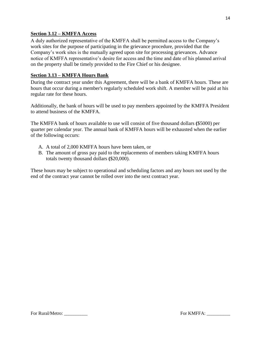## <span id="page-13-0"></span>**Section 3.12 – KMFFA Access**

A duly authorized representative of the KMFFA shall be permitted access to the Company's work sites for the purpose of participating in the grievance procedure, provided that the Company's work sites is the mutually agreed upon site for processing grievances. Advance notice of KMFFA representative's desire for access and the time and date of his planned arrival on the property shall be timely provided to the Fire Chief or his designee.

## <span id="page-13-1"></span>**Section 3.13 – KMFFA Hours Bank**

During the contract year under this Agreement, there will be a bank of KMFFA hours. These are hours that occur during a member's regularly scheduled work shift. A member will be paid at his regular rate for these hours.

Additionally, the bank of hours will be used to pay members appointed by the KMFFA President to attend business of the KMFFA.

The KMFFA bank of hours available to use will consist of five thousand dollars **(**\$5000) per quarter per calendar year. The annual bank of KMFFA hours will be exhausted when the earlier of the following occurs:

- A. A total of 2,000 KMFFA hours have been taken, or
- B. The amount of gross pay paid to the replacements of members taking KMFFA hours totals twenty thousand dollars **(**\$20,000).

These hours may be subject to operational and scheduling factors and any hours not used by the end of the contract year cannot be rolled over into the next contract year.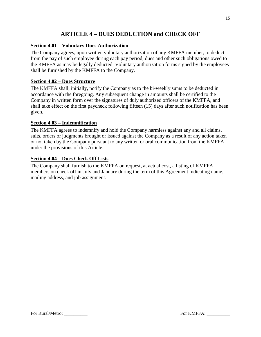# **ARTICLE 4 – DUES DEDUCTION and CHECK OFF**

# <span id="page-14-1"></span><span id="page-14-0"></span>**Section 4.01 – Voluntary Dues Authorization**

The Company agrees, upon written voluntary authorization of any KMFFA member, to deduct from the pay of such employee during each pay period, dues and other such obligations owed to the KMFFA as may be legally deducted. Voluntary authorization forms signed by the employees shall be furnished by the KMFFA to the Company.

# <span id="page-14-2"></span>**Section 4.02 – Dues Structure**

The KMFFA shall, initially, notify the Company as to the bi-weekly sums to be deducted in accordance with the foregoing. Any subsequent change in amounts shall be certified to the Company in written form over the signatures of duly authorized officers of the KMFFA, and shall take effect on the first paycheck following fifteen (15) days after such notification has been given.

# <span id="page-14-3"></span>**Section 4.03 – Indemnification**

The KMFFA agrees to indemnify and hold the Company harmless against any and all claims, suits, orders or judgments brought or issued against the Company as a result of any action taken or not taken by the Company pursuant to any written or oral communication from the KMFFA under the provisions of this Article.

# <span id="page-14-4"></span>**Section 4.04 – Dues Check Off Lists**

The Company shall furnish to the KMFFA on request, at actual cost, a listing of KMFFA members on check off in July and January during the term of this Agreement indicating name, mailing address, and job assignment.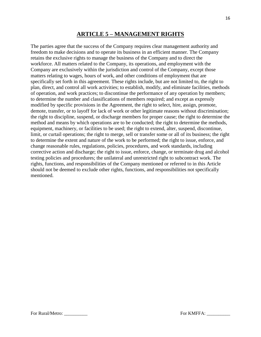# **ARTICLE 5 – MANAGEMENT RIGHTS**

<span id="page-15-0"></span>The parties agree that the success of the Company requires clear management authority and freedom to make decisions and to operate its business in an efficient manner. The Company retains the exclusive rights to manage the business of the Company and to direct the workforce. All matters related to the Company, its operations, and employment with the Company are exclusively within the jurisdiction and control of the Company, except those matters relating to wages, hours of work, and other conditions of employment that are specifically set forth in this agreement. These rights include, but are not limited to, the right to plan, direct, and control all work activities; to establish, modify, and eliminate facilities, methods of operation, and work practices; to discontinue the performance of any operation by members; to determine the number and classifications of members required; and except as expressly modified by specific provisions in the Agreement, the right to select, hire, assign, promote, demote, transfer, or to layoff for lack of work or other legitimate reasons without discrimination; the right to discipline, suspend, or discharge members for proper cause; the right to determine the method and means by which operations are to be conducted; the right to determine the methods, equipment, machinery, or facilities to be used; the right to extend, alter, suspend, discontinue, limit, or curtail operations; the right to merge, sell or transfer some or all of its business; the right to determine the extent and nature of the work to be performed; the right to issue, enforce, and change reasonable rules, regulations, policies, procedures, and work standards, including corrective action and discharge; the right to issue, enforce, change, or terminate drug and alcohol testing policies and procedures; the unilateral and unrestricted right to subcontract work. The rights, functions, and responsibilities of the Company mentioned or referred to in this Article should not be deemed to exclude other rights, functions, and responsibilities not specifically mentioned.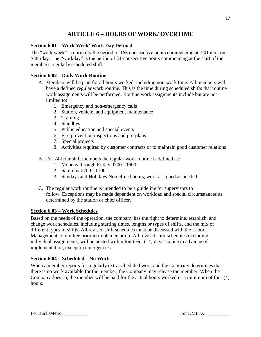# **ARTICLE 6 – HOURS OF WORK/ OVERTIME**

# <span id="page-16-1"></span><span id="page-16-0"></span>**Section 6.01 – Work Week/ Work Day Defined**

The "work week" is normally the period of 168 consecutive hours commencing at 7:01 a.m. on Saturday. The "workday" is the period of 24-consecutive hours commencing at the start of the member's regularly scheduled shift.

# <span id="page-16-2"></span>**Section 6.02 – Daily Work Routine**

- A. Members will be paid for all hours worked, including non-work time. All members will have a defined regular work routine. This is the time during scheduled shifts that routine work assignments will be performed. Routine work assignments include but are not limited to:
	- 1. Emergency and non-emergency calls
	- 2. Station, vehicle, and equipment maintenance
	- 3. Training
	- 4. Standbys
	- 5. Public education and special events
	- 6. Fire prevention inspections and pre-plans
	- 7. Special projects
	- 8. Activities required by customer contracts or to maintain good customer relations
- B. For 24-hour shift members the regular work routine is defined as:
	- 1. Monday through Friday 0700 1600
	- 2. Saturday 0700 1100
	- 3. Sundays and Holidays No defined hours, work assigned as needed
- C. The regular work routine is intended to be a guideline for supervisors to follow. Exceptions may be made dependent on workload and special circumstances as determined by the station or chief officer.

# <span id="page-16-3"></span>**Section 6.03 – Work Schedules**

Based on the needs of the operation, the company has the right to determine, establish, and change work schedules, including starting times, lengths or types of shifts, and the mix of different types of shifts. All revised shift schedules must be discussed with the Labor Management committee prior to implementation. All revised shift schedules excluding individual assignments, will be posted within fourteen, (14) days' notice in advance of implementation, except in emergencies.

# <span id="page-16-4"></span>**Section 6.04 – Scheduled – No Work**

When a member reports for regularly extra scheduled work and the Company determines that there is no work available for the member, the Company may release the member. When the Company does so, the member will be paid for the actual hours worked or a minimum of four (4) hours.

For Rural/Metro: \_\_\_\_\_\_\_\_\_\_ For KMFFA: \_\_\_\_\_\_\_\_\_\_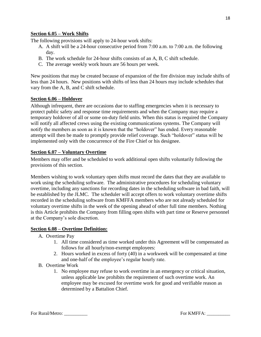#### <span id="page-17-0"></span>**Section 6.05 – Work Shifts**

The following provisions will apply to 24-hour work shifts:

- A. A shift will be a 24-hour consecutive period from 7:00 a.m. to 7:00 a.m. the following day.
- B. The work schedule for 24-hour shifts consists of an A, B, C shift schedule.
- C. The average weekly work hours are 56 hours per week.

New positions that may be created because of expansion of the fire division may include shifts of less than 24 hours. New positions with shifts of less than 24 hours may include schedules that vary from the A, B, and C shift schedule.

#### <span id="page-17-1"></span>**Section 6.06 – Holdover**

Although infrequent, there are occasions due to staffing emergencies when it is necessary to protect public safety and response time requirements and when the Company may require a temporary holdover of all or some on-duty field units. When this status is required the Company will notify all affected crews using the existing communications systems. The Company will notify the members as soon as it is known that the "holdover" has ended. Every reasonable attempt will then be made to promptly provide relief coverage. Such "holdover" status will be implemented only with the concurrence of the Fire Chief or his designee.

#### <span id="page-17-2"></span>**Section 6.07 – Voluntary Overtime**

Members may offer and be scheduled to work additional open shifts voluntarily following the provisions of this section.

Members wishing to work voluntary open shifts must record the dates that they are available to work using the scheduling software. The administrative procedures for scheduling voluntary overtime, including any sanctions for recording dates in the scheduling software in bad faith, will be established by the JLMC. The scheduler will accept offers to work voluntary overtime shifts recorded in the scheduling software from KMFFA members who are not already scheduled for voluntary overtime shifts in the week of the opening ahead of other full time members. Nothing is this Article prohibits the Company from filling open shifts with part time or Reserve personnel at the Company's sole discretion.

#### <span id="page-17-3"></span>**Section 6.08 – Overtime Definition:**

- A. Overtime Pay
	- 1. All time considered as time worked under this Agreement will be compensated as follows for all hourly/non-exempt employees:
	- 2. Hours worked in excess of forty (40) in a workweek will be compensated at time and one-half of the employee's regular hourly rate.
- B. Overtime Work
	- 1. No employee may refuse to work overtime in an emergency or critical situation, unless applicable law prohibits the requirement of such overtime work. An employee may be excused for overtime work for good and verifiable reason as determined by a Battalion Chief.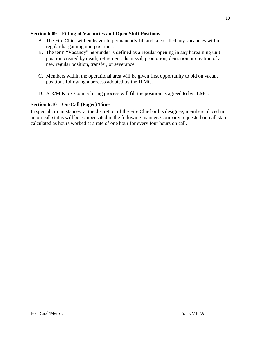#### <span id="page-18-0"></span>**Section 6.09 – Filling of Vacancies and Open Shift Positions**

- A. The Fire Chief will endeavor to permanently fill and keep filled any vacancies within regular bargaining unit positions.
- B. The term "Vacancy" hereunder is defined as a regular opening in any bargaining unit position created by death, retirement, dismissal, promotion, demotion or creation of a new regular position, transfer, or severance.
- C. Members within the operational area will be given first opportunity to bid on vacant positions following a process adopted by the JLMC.
- D. A R/M Knox County hiring process will fill the position as agreed to by JLMC.

# <span id="page-18-1"></span>**Section 6.10 – On-Call (Pager) Time**

In special circumstances, at the discretion of the Fire Chief or his designee, members placed in an on-call status will be compensated in the following manner. Company requested on-call status calculated as hours worked at a rate of one hour for every four hours on call.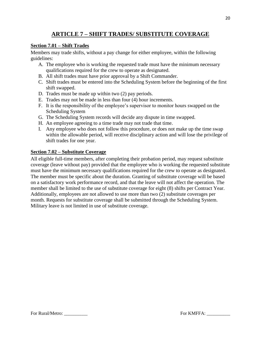# **ARTICLE 7 – SHIFT TRADES/ SUBSTITUTE COVERAGE**

#### <span id="page-19-1"></span><span id="page-19-0"></span>**Section 7.01 – Shift Trades**

Members may trade shifts, without a pay change for either employee, within the following guidelines:

- A. The employee who is working the requested trade must have the minimum necessary qualifications required for the crew to operate as designated.
- B. All shift trades must have prior approval by a Shift Commander.
- C. Shift trades must be entered into the Scheduling System before the beginning of the first shift swapped.
- D. Trades must be made up within two (2) pay periods.
- E. Trades may not be made in less than four (4) hour increments.
- F. It is the responsibility of the employee's supervisor to monitor hours swapped on the Scheduling System
- G. The Scheduling System records will decide any dispute in time swapped.
- H. An employee agreeing to a time trade may not trade that time.
- I. Any employee who does not follow this procedure, or does not make up the time swap within the allowable period, will receive disciplinary action and will lose the privilege of shift trades for one year.

#### <span id="page-19-2"></span>**Section 7.02 – Substitute Coverage**

All eligible full-time members, after completing their probation period, may request substitute coverage (leave without pay) provided that the employee who is working the requested substitute must have the minimum necessary qualifications required for the crew to operate as designated. The member must be specific about the duration. Granting of substitute coverage will be based on a satisfactory work performance record, and that the leave will not affect the operation. The member shall be limited to the use of substitute coverage for eight (8) shifts per Contract Year. Additionally, employees are not allowed to use more than two (2) substitute coverages per month. Requests for substitute coverage shall be submitted through the Scheduling System. Military leave is not limited in use of substitute coverage.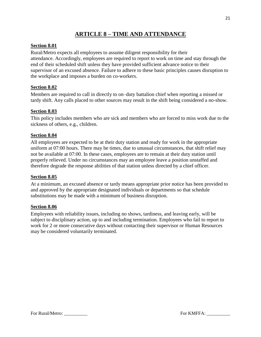# **ARTICLE 8 – TIME AND ATTENDANCE**

# <span id="page-20-1"></span><span id="page-20-0"></span>**Section 8.01**

Rural/Metro expects all employees to assume diligent responsibility for their attendance. Accordingly, employees are required to report to work on time and stay through the end of their scheduled shift unless they have provided sufficient advance notice to their supervisor of an excused absence. Failure to adhere to these basic principles causes disruption to the workplace and imposes a burden on co-workers.

# <span id="page-20-2"></span>**Section 8.02**

Members are required to call in directly to on–duty battalion chief when reporting a missed or tardy shift. Any calls placed to other sources may result in the shift being considered a no-show.

# <span id="page-20-3"></span>**Section 8.03**

This policy includes members who are sick and members who are forced to miss work due to the sickness of others, e.g., children.

# <span id="page-20-4"></span>**Section 8.04**

All employees are expected to be at their duty station and ready for work in the appropriate uniform at 07:00 hours. There may be times, due to unusual circumstances, that shift relief may not be available at 07:00. In these cases, employees are to remain at their duty station until properly relieved. Under no circumstances may an employee leave a position unstaffed and therefore degrade the response abilities of that station unless directed by a chief officer.

# <span id="page-20-5"></span>**Section 8.05**

At a minimum, an excused absence or tardy means appropriate prior notice has been provided to and approved by the appropriate designated individuals or departments so that schedule substitutions may be made with a minimum of business disruption.

# <span id="page-20-6"></span>**Section 8.06**

Employees with reliability issues, including no shows, tardiness, and leaving early, will be subject to disciplinary action, up to and including termination. Employees who fail to report to work for 2 or more consecutive days without contacting their supervisor or Human Resources may be considered voluntarily terminated.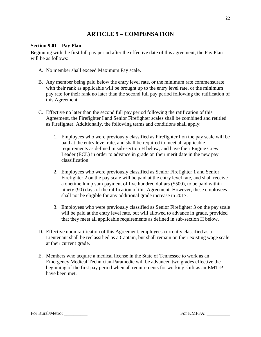# **ARTICLE 9 – COMPENSATION**

#### <span id="page-21-1"></span><span id="page-21-0"></span>**Section 9.01 – Pay Plan**

Beginning with the first full pay period after the effective date of this agreement, the Pay Plan will be as follows:

- A. No member shall exceed Maximum Pay scale.
- B. Any member being paid below the entry level rate, or the minimum rate commensurate with their rank as applicable will be brought up to the entry level rate, or the minimum pay rate for their rank no later than the second full pay period following the ratification of this Agreement.
- C. Effective no later than the second full pay period following the ratification of this Agreement, the Firefighter I and Senior Firefighter scales shall be combined and retitled as Firefighter. Additionally, the following terms and conditions shall apply:
	- 1. Employees who were previously classified as Firefighter I on the pay scale will be paid at the entry level rate, and shall be required to meet all applicable requirements as defined in sub-section H below, and have their Engine Crew Leader (ECL) in order to advance in grade on their merit date in the new pay classification.
	- 2. Employees who were previously classified as Senior Firefighter 1 and Senior Firefighter 2 on the pay scale will be paid at the entry level rate, and shall receive a onetime lump sum payment of five hundred dollars (\$500), to be paid within ninety (90) days of the ratification of this Agreement. However, these employees shall not be eligible for any additional grade increase in 2017.
	- 3. Employees who were previously classified as Senior Firefighter 3 on the pay scale will be paid at the entry level rate, but will allowed to advance in grade, provided that they meet all applicable requirements as defined in sub-section H below.
- D. Effective upon ratification of this Agreement, employees currently classified as a Lieutenant shall be reclassified as a Captain, but shall remain on their existing wage scale at their current grade.
- E. Members who acquire a medical license in the State of Tennessee to work as an Emergency Medical Technician-Paramedic will be advanced two grades effective the beginning of the first pay period when all requirements for working shift as an EMT-P have been met.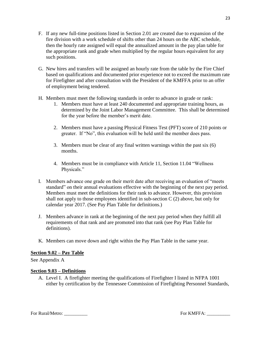- F. If any new full-time positions listed in Section 2.01 are created due to expansion of the fire division with a work schedule of shifts other than 24 hours on the ABC schedule, then the hourly rate assigned will equal the annualized amount in the pay plan table for the appropriate rank and grade when multiplied by the regular hours equivalent for any such positions.
- G. New hires and transfers will be assigned an hourly rate from the table by the Fire Chief based on qualifications and documented prior experience not to exceed the maximum rate for Firefighter and after consultation with the President of the KMFFA prior to an offer of employment being tendered.
- H. Members must meet the following standards in order to advance in grade or rank:
	- 1. Members must have at least 240 documented and appropriate training hours, as determined by the Joint Labor Management Committee. This shall be determined for the year before the member's merit date.
	- 2. Members must have a passing Physical Fitness Test (PFT) score of 210 points or greater. If "No", this evaluation will be held until the member does pass.
	- 3. Members must be clear of any final written warnings within the past six (6) months.
	- 4. Members must be in compliance with Article 11, Section 11.04 "Wellness Physicals."
- I. Members advance one grade on their merit date after receiving an evaluation of "meets standard" on their annual evaluations effective with the beginning of the next pay period. Members must meet the definitions for their rank to advance. However, this provision shall not apply to those employees identified in sub-section  $C(2)$  above, but only for calendar year 2017. (See Pay Plan Table for definitions.)
- J. Members advance in rank at the beginning of the next pay period when they fulfill all requirements of that rank and are promoted into that rank (see Pay Plan Table for definitions).
- K. Members can move down and right within the Pay Plan Table in the same year.

#### <span id="page-22-0"></span>**Section 9.02 – Pay Table**

See Appendix A

#### <span id="page-22-1"></span>**Section 9.03 – Definitions**

A. Level I. A firefighter meeting the qualifications of Firefighter I listed in NFPA 1001 either by certification by the Tennessee Commission of Firefighting Personnel Standards,

For Rural/Metro: \_\_\_\_\_\_\_\_\_\_ For KMFFA: \_\_\_\_\_\_\_\_\_\_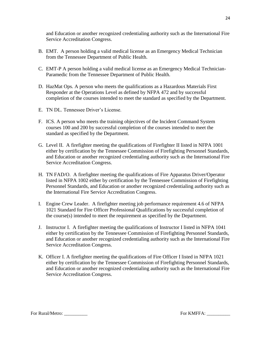and Education or another recognized credentialing authority such as the International Fire Service Accreditation Congress.

- B. EMT. A person holding a valid medical license as an Emergency Medical Technician from the Tennessee Department of Public Health.
- C. EMT-P A person holding a valid medical license as an Emergency Medical Technician-Paramedic from the Tennessee Department of Public Health.
- D. HazMat Ops. A person who meets the qualifications as a Hazardous Materials First Responder at the Operations Level as defined by NFPA 472 and by successful completion of the courses intended to meet the standard as specified by the Department.
- E. TN DL. Tennessee Driver's License.
- F. ICS. A person who meets the training objectives of the Incident Command System courses 100 and 200 by successful completion of the courses intended to meet the standard as specified by the Department.
- G. Level II. A firefighter meeting the qualifications of Firefighter II listed in NFPA 1001 either by certification by the Tennessee Commission of Firefighting Personnel Standards, and Education or another recognized credentialing authority such as the International Fire Service Accreditation Congress.
- H. TN FAD/O. A firefighter meeting the qualifications of Fire Apparatus Driver/Operator listed in NFPA 1002 either by certification by the Tennessee Commission of Firefighting Personnel Standards, and Education or another recognized credentialing authority such as the International Fire Service Accreditation Congress.
- I. Engine Crew Leader. A firefighter meeting job performance requirement 4.6 of NFPA 1021 Standard for Fire Officer Professional Qualifications by successful completion of the course(s) intended to meet the requirement as specified by the Department.
- J. Instructor I. A firefighter meeting the qualifications of Instructor I listed in NFPA 1041 either by certification by the Tennessee Commission of Firefighting Personnel Standards, and Education or another recognized credentialing authority such as the International Fire Service Accreditation Congress.
- K. Officer I. A firefighter meeting the qualifications of Fire Officer I listed in NFPA 1021 either by certification by the Tennessee Commission of Firefighting Personnel Standards, and Education or another recognized credentialing authority such as the International Fire Service Accreditation Congress.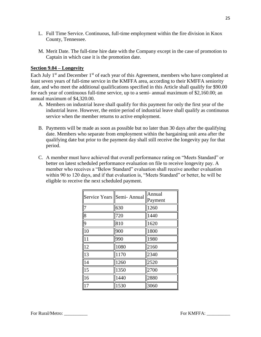- L. Full Time Service. Continuous, full-time employment within the fire division in Knox County, Tennessee.
- M. Merit Date. The full-time hire date with the Company except in the case of promotion to Captain in which case it is the promotion date.

#### <span id="page-24-0"></span>**Section 9.04 – Longevity**

Each July  $1<sup>st</sup>$  and December  $1<sup>st</sup>$  of each year of this Agreement, members who have completed at least seven years of full-time service in the KMFFA area, according to their KMFFA seniority date, and who meet the additional qualifications specified in this Article shall qualify for \$90.00 for each year of continuous full-time service, up to a semi- annual maximum of \$2,160.00; an annual maximum of \$4,320.00.

- A. Members on industrial leave shall qualify for this payment for only the first year of the industrial leave. However, the entire period of industrial leave shall qualify as continuous service when the member returns to active employment.
- B. Payments will be made as soon as possible but no later than 30 days after the qualifying date. Members who separate from employment within the bargaining unit area after the qualifying date but prior to the payment day shall still receive the longevity pay for that period.
- C. A member must have achieved that overall performance rating on "Meets Standard" or better on latest scheduled performance evaluation on file to receive longevity pay. A member who receives a "Below Standard" evaluation shall receive another evaluation within 90 to 120 days, and if that evaluation is, "Meets Standard" or better, he will be eligible to receive the next scheduled payment.

| <b>Service Years</b> | Semi-Annual | Annual<br>Payment |  |  |
|----------------------|-------------|-------------------|--|--|
| $\overline{7}$       | 630         | 1260              |  |  |
| $\overline{8}$       | 720         | 1440              |  |  |
| $\overline{9}$       | 810         | 1620              |  |  |
| 10                   | 900         | 1800              |  |  |
| $1\overline{1}$      | 990         | 1980              |  |  |
| 12                   | 1080        | 2160              |  |  |
| 13                   | 1170        | 2340              |  |  |
| 14                   | 1260        | 2520              |  |  |
| 15                   | 1350        | 2700              |  |  |
| 16                   | 1440        | 2880              |  |  |
| 17                   | 1530        | 3060              |  |  |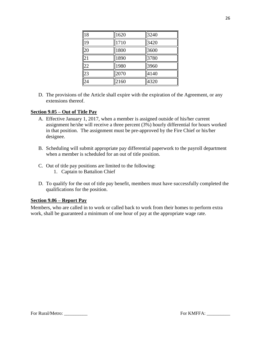| 18              | 1620 | 3240 |
|-----------------|------|------|
| 19              | 1710 | 3420 |
| $\overline{20}$ | 1800 | 3600 |
| $\overline{21}$ | 1890 | 3780 |
| $\frac{1}{22}$  | 1980 | 3960 |
| $\overline{23}$ | 2070 | 4140 |
| $\overline{24}$ | 2160 | 4320 |

D. The provisions of the Article shall expire with the expiration of the Agreement, or any extensions thereof.

#### <span id="page-25-0"></span>**Section 9.05 – Out of Title Pay**

- A. Effective January 1, 2017, when a member is assigned outside of his/her current assignment he/she will receive a three percent (3%) hourly differential for hours worked in that position. The assignment must be pre-approved by the Fire Chief or his/her designee.
- B. Scheduling will submit appropriate pay differential paperwork to the payroll department when a member is scheduled for an out of title position.
- C. Out of title pay positions are limited to the following:
	- 1. Captain to Battalion Chief
- D. To qualify for the out of title pay benefit, members must have successfully completed the qualifications for the position.

#### <span id="page-25-1"></span>**Section 9.06 – Report Pay**

Members, who are called in to work or called back to work from their homes to perform extra work, shall be guaranteed a minimum of one hour of pay at the appropriate wage rate.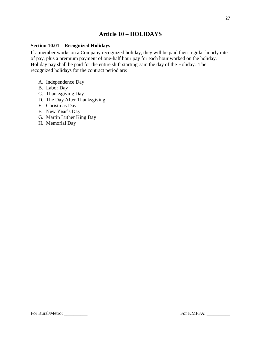# **Article 10 – HOLIDAYS**

# <span id="page-26-1"></span><span id="page-26-0"></span>**Section 10.01 – Recognized Holidays**

If a member works on a Company recognized holiday, they will be paid their regular hourly rate of pay, plus a premium payment of one-half hour pay for each hour worked on the holiday. Holiday pay shall be paid for the entire shift starting 7am the day of the Holiday. The recognized holidays for the contract period are:

- A. Independence Day
- B. Labor Day
- C. Thanksgiving Day
- D. The Day After Thanksgiving
- E. Christmas Day
- F. New Year's Day
- G. Martin Luther King Day
- H. Memorial Day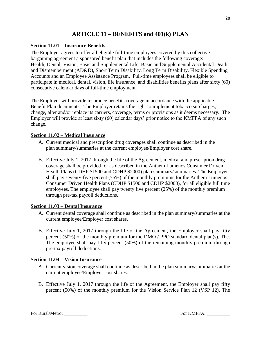# **ARTICLE 11 – BENEFITS and 401(k) PLAN**

#### <span id="page-27-1"></span><span id="page-27-0"></span>**Section 11.01 – Insurance Benefits**

The Employer agrees to offer all eligible full-time employees covered by this collective bargaining agreement a sponsored benefit plan that includes the following coverage: Health, Dental, Vision, Basic and Supplemental Life, Basic and Supplemental Accidental Death and Dismemberment (AD&D), Short Term Disability, Long Term Disability, Flexible Spending Accounts and an Employee Assistance Program. Full-time employees shall be eligible to participate in medical, dental, vision, life insurance, and disabilities benefits plans after sixty (60) consecutive calendar days of full-time employment.

The Employer will provide insurance benefits coverage in accordance with the applicable Benefit Plan documents. The Employer retains the right to implement tobacco surcharges, change, alter and/or replace its carriers, coverage, terms or provisions as it deems necessary. The Employer will provide at least sixty (60) calendar days' prior notice to the KMFFA of any such change.

#### <span id="page-27-2"></span>**Section 11.02 – Medical Insurance**

- A. Current medical and prescription drug coverages shall continue as described in the plan summary/summaries at the current employee/Employer cost share.
- B. Effective July 1, 2017 through the life of the Agreement, medical and prescription drug coverage shall be provided for as described in the Anthem Lumenos Consumer Driven Health Plans (CDHP \$1500 and CDHP \$2000) plan summary/summaries. The Employer shall pay seventy-five percent (75%) of the monthly premiums for the Anthem Lumenos Consumer Driven Health Plans (CDHP \$1500 and CDHP \$2000), for all eligible full time employees. The employee shall pay twenty five percent (25%) of the monthly premium through pre-tax payroll deductions.

#### <span id="page-27-3"></span>**Section 11.03 – Dental Insurance**

- A. Current dental coverage shall continue as described in the plan summary/summaries at the current employee/Employer cost shares.
- B. Effective July 1, 2017 through the life of the Agreement, the Employer shall pay fifty percent (50%) of the monthly premium for the DMO / PPO standard dental plan(s). The. The employee shall pay fifty percent (50%) of the remaining monthly premium through pre-tax payroll deductions.

#### <span id="page-27-4"></span>**Section 11.04 – Vision Insurance**

- A. Current vision coverage shall continue as described in the plan summary/summaries at the current employee/Employer cost shares.
- B. Effective July 1, 2017 through the life of the Agreement, the Employer shall pay fifty percent (50%) of the monthly premium for the Vision Service Plan 12 (VSP 12). The

For Rural/Metro: \_\_\_\_\_\_\_\_\_\_ For KMFFA: \_\_\_\_\_\_\_\_\_\_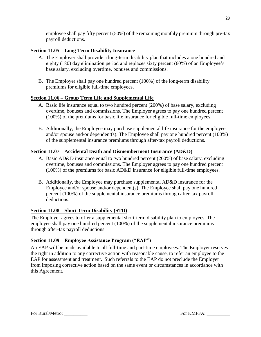employee shall pay fifty percent (50%) of the remaining monthly premium through pre-tax payroll deductions.

# <span id="page-28-0"></span>**Section 11.05 – Long Term Disability Insurance**

- A. The Employer shall provide a long-term disability plan that includes a one hundred and eighty (180) day elimination period and replaces sixty percent (60%) of an Employee's base salary, excluding overtime, bonuses and commissions.
- B. The Employer shall pay one hundred percent (100%) of the long-term disability premiums for eligible full-time employees.

# <span id="page-28-1"></span>**Section 11.06 – Group Term Life and Supplemental Life**

- A. Basic life insurance equal to two hundred percent (200%) of base salary, excluding overtime, bonuses and commissions. The Employer agrees to pay one hundred percent (100%) of the premiums for basic life insurance for eligible full-time employees.
- B. Additionally, the Employee may purchase supplemental life insurance for the employee and/or spouse and/or dependent(s). The Employee shall pay one hundred percent (100%) of the supplemental insurance premiums through after-tax payroll deductions.

# <span id="page-28-2"></span>**Section 11.07 – Accidental Death and Dismemberment Insurance (AD&D)**

- A. Basic AD&D insurance equal to two hundred percent (200%) of base salary, excluding overtime, bonuses and commissions. The Employer agrees to pay one hundred percent (100%) of the premiums for basic AD&D insurance for eligible full-time employees.
- B. Additionally, the Employee may purchase supplemental AD&D insurance for the Employee and/or spouse and/or dependent(s). The Employee shall pay one hundred percent (100%) of the supplemental insurance premiums through after-tax payroll deductions.

# <span id="page-28-3"></span>**Section 11.08 – Short Term Disability (STD)**

The Employer agrees to offer a supplemental short-term disability plan to employees. The employee shall pay one hundred percent (100%) of the supplemental insurance premiums through after-tax payroll deductions.

# <span id="page-28-4"></span>**Section 11.09 – Employee Assistance Program ("EAP")**

An EAP will be made available to all full-time and part-time employees. The Employer reserves the right in addition to any corrective action with reasonable cause, to refer an employee to the EAP for assessment and treatment. Such referrals to the EAP do not preclude the Employer from imposing corrective action based on the same event or circumstances in accordance with this Agreement.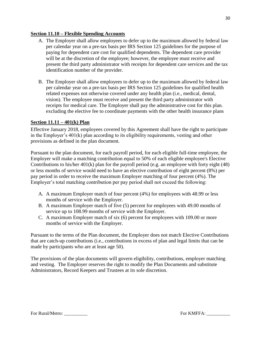## <span id="page-29-0"></span>**Section 11.10 – Flexible Spending Accounts**

- A. The Employer shall allow employees to defer up to the maximum allowed by federal law per calendar year on a pre-tax basis per IRS Section 125 guidelines for the purpose of paying for dependent care cost for qualified dependents. The dependent care provider will be at the discretion of the employee; however, the employee must receive and present the third party administrator with receipts for dependent care services and the tax identification number of the provider.
- B. The Employer shall allow employees to defer up to the maximum allowed by federal law per calendar year on a pre-tax basis per IRS Section 125 guidelines for qualified health related expenses not otherwise covered under any health plan (i.e., medical, dental, vision). The employee must receive and present the third party administrator with receipts for medical care. The Employer shall pay the administrative cost for this plan. excluding the elective fee to coordinate payments with the other health insurance plans

# <span id="page-29-1"></span>**Section 11.11 – 401(k) Plan**

Effective January 2018, employees covered by this Agreement shall have the right to participate in the Employer's 401(k) plan according to its eligibility requirements, vesting and other provisions as defined in the plan document.

Pursuant to the plan document, for each payroll period, for each eligible full-time employee, the Employer will make a matching contribution equal to 50% of each eligible employee's Elective Contributions to his/her 401(k) plan for the payroll period (e.g. an employee with forty eight (48) or less months of service would need to have an elective contribution of eight percent (8%) per pay period in order to receive the maximum Employer matching of four percent (4%). The Employer's total matching contribution per pay period shall not exceed the following:

- A. A maximum Employer match of four percent (4%) for employees with 48.99 or less months of service with the Employer.
- B. A maximum Employer match of five (5) percent for employees with 49.00 months of service up to 108.99 months of service with the Employer.
- C. A maximum Employer match of six (6) percent for employees with 109.00 or more months of service with the Employer.

Pursuant to the terms of the Plan document, the Employer does not match Elective Contributions that are catch-up contributions (i.e., contributions in excess of plan and legal limits that can be made by participants who are at least age 50).

The provisions of the plan documents will govern eligibility, contributions, employer matching and vesting. The Employer reserves the right to modify the Plan Documents and substitute Administrators, Record Keepers and Trustees at its sole discretion.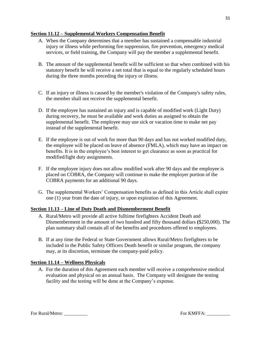#### <span id="page-30-0"></span>**Section 11.12 – Supplemental Workers Compensation Benefit**

- A. When the Company determines that a member has sustained a compensable industrial injury or illness while performing fire suppression, fire prevention, emergency medical services, or field training, the Company will pay the member a supplemental benefit.
- B. The amount of the supplemental benefit will be sufficient so that when combined with his statutory benefit he will receive a net total that is equal to the regularly scheduled hours during the three months preceding the injury or illness.
- C. If an injury or illness is caused by the member's violation of the Company's safety rules, the member shall not receive the supplemental benefit.
- D. If the employee has sustained an injury and is capable of modified work (Light Duty) during recovery, he must be available and work duties as assigned to obtain the supplemental benefit. The employee may use sick or vacation time to make net pay instead of the supplemental benefit.
- E. If the employee is out of work for more than 90 days and has not worked modified duty, the employee will be placed on leave of absence (FMLA), which may have an impact on benefits. It is in the employee's best interest to get clearance as soon as practical for modified/light duty assignments.
- F. If the employee injury does not allow modified work after 90 days and the employee is placed on COBRA, the Company will continue to make the employer portion of the COBRA payments for an additional 90 days.
- G. The supplemental Workers' Compensation benefits as defined in this Article shall expire one (1) year from the date of injury, or upon expiration of this Agreement.

# <span id="page-30-1"></span>**Section 11.13 – Line of Duty Death and Dismemberment Benefit**

- A. Rural/Metro will provide all active fulltime firefighters Accident Death and Dismemberment in the amount of two hundred and fifty thousand dollars **(**\$250,000). The plan summary shall contain all of the benefits and procedures offered to employees.
- B. If at any time the Federal or State Government allows Rural/Metro firefighters to be included in the Public Safety Officers Death benefit or similar program, the company may, at its discretion, terminate the company-paid policy.

# <span id="page-30-2"></span>**Section 11.14 – Wellness Physicals**

A. For the duration of this Agreement each member will receive a comprehensive medical evaluation and physical on an annual basis. The Company will designate the testing facility and the testing will be done at the Company's expense.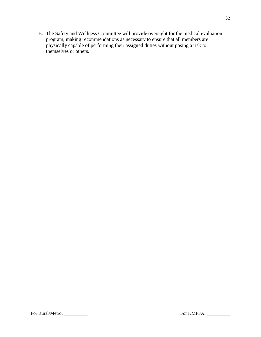B. The Safety and Wellness Committee will provide oversight for the medical evaluation program, making recommendations as necessary to ensure that all members are physically capable of performing their assigned duties without posing a risk to themselves or others.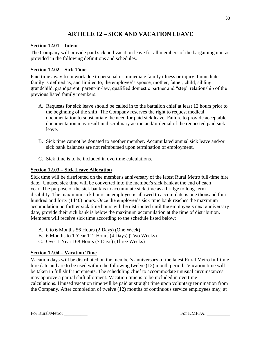# **ARTICLE 12 – SICK AND VACATION LEAVE**

#### <span id="page-32-1"></span><span id="page-32-0"></span>**Section 12.01 – Intent**

The Company will provide paid sick and vacation leave for all members of the bargaining unit as provided in the following definitions and schedules.

#### <span id="page-32-2"></span>**Section 12.02 – Sick Time**

Paid time away from work due to personal or immediate family illness or injury. Immediate family is defined as, and limited to, the employee's spouse, mother, father, child, sibling, grandchild, grandparent, parent-in-law, qualified domestic partner and "step" relationship of the previous listed family members.

- A. Requests for sick leave should be called in to the battalion chief at least 12 hours prior to the beginning of the shift. The Company reserves the right to request medical documentation to substantiate the need for paid sick leave. Failure to provide acceptable documentation may result in disciplinary action and/or denial of the requested paid sick leave.
- B. Sick time cannot be donated to another member. Accumulated annual sick leave and/or sick bank balances are not reimbursed upon termination of employment.
- C. Sick time is to be included in overtime calculations.

## <span id="page-32-3"></span>**Section 12.03 – Sick Leave Allocation**

Sick time will be distributed on the member's anniversary of the latest Rural Metro full-time hire date. Unused sick time will be converted into the member's sick bank at the end of each year. The purpose of the sick bank is to accumulate sick time as a bridge to long-term disability. The maximum sick hours an employee is allowed to accumulate is one thousand four hundred and forty (1440) hours. Once the employee's sick time bank reaches the maximum accumulation no further sick time hours will be distributed until the employee's next anniversary date, provide their sick bank is below the maximum accumulation at the time of distribution. Members will receive sick time according to the schedule listed below:

- A. 0 to 6 Months 56 Hours (2 Days) (One Week)
- B. 6 Months to 1 Year 112 Hours (4 Days) (Two Weeks)
- C. Over 1 Year 168 Hours (7 Days) (Three Weeks)

# <span id="page-32-4"></span>**Section 12.04 – Vacation Time**

Vacation days will be distributed on the member's anniversary of the latest Rural Metro full-time hire date and are to be used within the following twelve (12) month period. Vacation time will be taken in full shift increments. The scheduling chief to accommodate unusual circumstances may approve a partial shift allotment. Vacation time is to be included in overtime calculations. Unused vacation time will be paid at straight time upon voluntary termination from the Company. After completion of twelve (12) months of continuous service employees may, at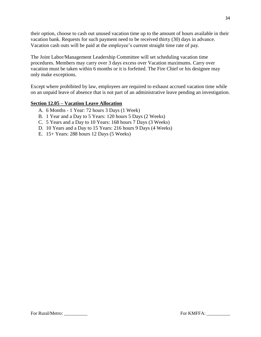their option, choose to cash out unused vacation time up to the amount of hours available in their vacation bank. Requests for such payment need to be received thirty (30) days in advance. Vacation cash outs will be paid at the employee's current straight time rate of pay.

The Joint Labor/Management Leadership Committee will set scheduling vacation time procedures. Members may carry over 3 days excess over Vacation maximums. Carry over vacation must be taken within 6 months or it is forfeited. The Fire Chief or his designee may only make exceptions.

Except where prohibited by law, employees are required to exhaust accrued vacation time while on an unpaid leave of absence that is not part of an administrative leave pending an investigation.

#### <span id="page-33-0"></span>**Section 12.05 – Vacation Leave Allocation**

- A. 6 Months 1 Year: 72 hours 3 Days (1 Week)
- B. 1 Year and a Day to 5 Years: 120 hours 5 Days (2 Weeks)
- C. 5 Years and a Day to 10 Years: 168 hours 7 Days (3 Weeks)
- D. 10 Years and a Day to 15 Years: 216 hours 9 Days (4 Weeks)
- E. 15+ Years: 288 hours 12 Days (5 Weeks)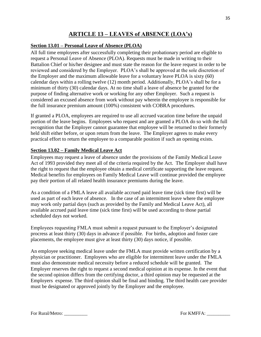# **ARTICLE 13 – LEAVES of ABSENCE (LOA's)**

# <span id="page-34-1"></span><span id="page-34-0"></span>**Section 13.01 – Personal Leave of Absence (PLOA)**

All full time employees after successfully completing their probationary period are eligible to request a Personal Leave of Absence (PLOA). Requests must be made in writing to their Battalion Chief or his/her designee and must state the reason for the leave request in order to be reviewed and considered by the Employer. PLOA's shall be approved at the sole discretion of the Employer and the maximum allowable leave for a voluntary leave PLOA is sixty (60) calendar days within a rolling twelve (12) month period. Additionally, PLOA's shall be for a minimum of thirty (30) calendar days. At no time shall a leave of absence be granted for the purpose of finding alternative work or working for any other Employer. Such a request is considered an excused absence from work without pay wherein the employee is responsible for the full insurance premium amount (100%) consistent with COBRA procedures.

If granted a PLOA, employees are required to use all accrued vacation time before the unpaid portion of the leave begins. Employees who request and are granted a PLOA do so with the full recognition that the Employer cannot guarantee that employee will be returned to their formerly held shift either before, or upon return from the leave. The Employer agrees to make every practical effort to return the employee to a comparable position if such an opening exists.

#### <span id="page-34-2"></span>**Section 13.02 – Family Medical Leave Act**

Employees may request a leave of absence under the provisions of the Family Medical Leave Act of 1993 provided they meet all of the criteria required by the Act. The Employer shall have the right to request that the employee obtain a medical certificate supporting the leave request. Medical benefits for employees on Family Medical Leave will continue provided the employee pay their portion of all related health insurance premiums during the leave.

As a condition of a FMLA leave all available accrued paid leave time (sick time first) will be used as part of each leave of absence. In the case of an intermittent leave where the employee may work only partial days (such as provided by the Family and Medical Leave Act), all available accrued paid leave time (sick time first) will be used according to those partial scheduled days not worked.

Employees requesting FMLA must submit a request pursuant to the Employer's designated procress at least thirty (30) days in advance if possible. For births, adoption and foster care placements, the employee must give at least thirty (30) days notice, if possible.

An employee seeking medical leave under the FMLA must provide written certification by a physician or practitioner. Employees who are eligible for intermittent leave under the FMLA must also demonstrate medical necessity before a reduced schedule will be granted. The Employer reserves the right to request a second medical opinion at its expense. In the event that the second opinion differs from the certifying doctor, a third opinion may be requested at the Employers expense. The third opinion shall be final and binding. The third health care provider must be designated or approved jointly by the Employer and the employee.

For Rural/Metro: \_\_\_\_\_\_\_\_\_\_ For KMFFA: \_\_\_\_\_\_\_\_\_\_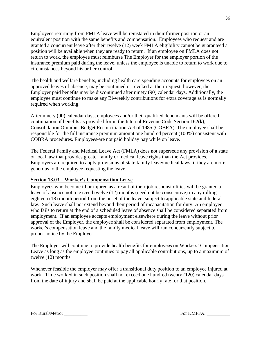Employees returning from FMLA leave will be reinstated in their former position or an equivalent position with the same benefits and compensation. Employees who request and are granted a concurrent leave after their twelve (12) week FMLA eligibility cannot be guaranteed a position will be available when they are ready to return. If an employee on FMLA does not return to work, the employee must reimburse The Employer for the employer portion of the insurance premium paid during the leave, unless the employee is unable to return to work due to circumstances beyond his or her control.

The health and welfare benefits, including health care spending accounts for employees on an approved leaves of absence, may be continued or revoked at their request, however, the Employer paid benefits may be discontinued after ninety (90) calendar days. Additionally, the employee must continue to make any Bi-weekly contributions for extra coverage as is normally required when working.

After ninety (90) calendar days, employees and/or their qualified dependants will be offered continuation of benefits as provided for in the Internal Revenue Code Section 162(k), Consolidation Omnibus Budget Reconciliation Act of 1985 (COBRA). The employee shall be responsible for the full insurance premium amount one hundred percent (100%) consistent with COBRA procedures. Employees-are not paid holiday pay while on leave.

The Federal Family and Medical Leave Act (FMLA) does not supersede any provision of a state or local law that provides greater family or medical leave rights than the Act provides. Employers are required to apply provisions of state family leave/medical laws, if they are more generous to the employee requesting the leave.

# <span id="page-35-0"></span>**Section 13.03 – Worker's Compensation Leave**

Employees who become ill or injured as a result of their job responsibilities will be granted a leave of absence not to exceed twelve (12) months (need not be consecutive) in any rolling eighteen (18) month period from the onset of the leave, subject to applicable state and federal law. Such leave shall not extend beyond their period of incapacitation for duty. An employee who fails to return at the end of a scheduled leave of absence shall be considered separated from employment. If an employee accepts employment elsewhere during the leave without prior approval of the Employer, the employee shall be considered separated from employment. The worker's compensation leave and the family medical leave will run concurrently subject to proper notice by the Employer.

The Employer will continue to provide health benefits for employees on Workers' Compensation Leave as long as the employee continues to pay all applicable contributions, up to a maximum of twelve (12) months.

Whenever feasible the employer may offer a transitional duty position to an employee injured at work. Time worked in such position shall not exceed one hundred twenty (120) calendar days from the date of injury and shall be paid at the applicable hourly rate for that position.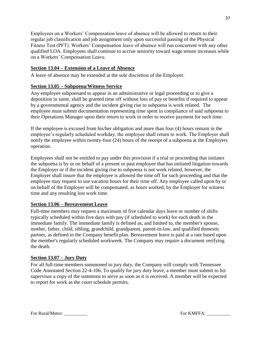Employees on a Workers' Compensation leave of absence will be allowed to return to their regular job classification and job assignment only upon successful passing of the Physical Fitness Test (PFT). Workers' Compensation leave of absence will run concurrent with any other qualified LOA. Employees shall continue to accrue seniority toward wage tenure increases while on a Workers' Compensation Leave.

## <span id="page-36-0"></span>**Section 13.04 – Extension of a Leave of Absence**

A leave of absence may be extended at the sole discretion of the Employer.

#### <span id="page-36-1"></span>**Section 13.05 – Subpoena/Witness Service**

Any employee subpoenaed to appear in an administrative or legal proceeding or to give a deposition in same, shall be granted time off without loss of pay or benefits if required to appear by a governmental agency and the incident giving rise to subpoena is work related. The employee must submit documentation representing time spent in compliance of said subpoena to their Operations Manager upon their return to work in order to receive payment for such time.

If the employee is excused from his/her obligation and more than four (4) hours remain in the employee's regularly scheduled workday, the employee shall return to work. The Employer shall notify the employee within twenty-four (24) hours of the receipt of a subpoena at the Employers operation.

Employees shall not be entitled to pay under this provision if a trial or proceeding that initiates the subpoena is by or on behalf of a present or past employee that has initiated litigation towards the Employer or if the incident giving rise to subpoena is not work related, however, the Employer shall insure that the employee is allowed the time off for such proceeding and that the employee may request to use vacation hours for their time off. Any employee called upon by or on behalf of the Employer will be compensated, as hours worked, by the Employer for witness time and any resulting lost work time.

#### <span id="page-36-2"></span>**Section 13.06 – Bereavement Leave**

Full-time members may request a maximum of five calendar days leave or number of shifts typically scheduled within five days with pay (if scheduled to work) for each death in the immediate family. The immediate family is defined as, and limited to, the member's spouse, mother, father, child, sibling, grandchild, grandparent, parent-in-law, and qualified domestic partner, as defined in the Company benefit plan. Bereavement leave is paid at a rate based upon the member's regularly scheduled workweek. The Company may require a document verifying the death.

# <span id="page-36-3"></span>**Section 13.07 – Jury Duty**

For all full-time members summoned to jury duty, the Company will comply with Tennessee Code Annotated Section 22-4-106. To qualify for jury duty leave, a member must submit to his supervisor a copy of the summons to serve as soon as it is received. A member will be expected to report for work as the court schedule permits.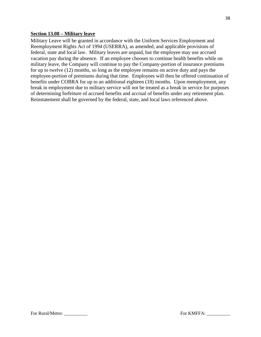#### <span id="page-37-0"></span>**Section 13.08 – Military leave**

Military Leave will be granted in accordance with the Uniform Services Employment and Reemployment Rights Act of 1994 (USERRA), as amended, and applicable provisions of federal, state and local law. Military leaves are unpaid, but the employee may use accrued vacation pay during the absence. If an employee chooses to continue health benefits while on military leave, the Company will continue to pay the Company-portion of insurance premiums for up to twelve (12) months, so long as the employee remains on active duty and pays the employee-portion of premiums during that time. Employees will then be offered continuation of benefits under COBRA for up to an additional eighteen (18) months. Upon reemployment, any break in employment due to military service will not be treated as a break in service for purposes of determining forfeiture of accrued benefits and accrual of benefits under any retirement plan. Reinstatement shall be governed by the federal, state, and local laws referenced above.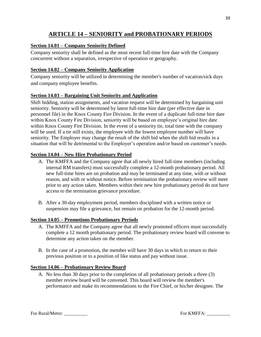# **ARTICLE 14 – SENIORITY and PROBATIONARY PERIODS**

# <span id="page-38-1"></span><span id="page-38-0"></span>**Section 14.01 – Company Seniority Defined**

Company seniority shall be defined as the most recent full-time hire date with the Company concurrent without a separation, irrespective of operation or geography.

# <span id="page-38-2"></span>**Section 14.02 – Company Seniority Application**

Company seniority will be utilized in determining the member's number of vacation/sick days and company employee benefits.

#### <span id="page-38-3"></span>**Section 14.03 – Bargaining Unit Seniority and Application**

Shift bidding, station assignments, and vacation request will be determined by bargaining unit seniority. Seniority will be determined by latest full-time hire date (per effective date in personnel file) in the Knox County Fire Division. In the event of a duplicate full-time hire date within Knox County Fire Division, seniority will be based on employee's original hire date within Knox County Fire Division. In the event of a seniority tie, total time with the company will be used. If a tie still exists, the employee with the lowest employee number will have seniority. The Employer may change the result of the shift bid when the shift bid results in a situation that will be detrimental to the Employer's operation and/or based on customer's needs.

#### <span id="page-38-4"></span>**Section 14.04 – New Hire Probationary Period**

- A. The KMFFA and the Company agree that all newly hired full-time members (including internal RM transfers) must successfully complete a 12-month probationary period. All new full-time hires are on probation and may be terminated at any time, with or without reason, and with or without notice. Before termination the probationary review will meet prior to any action taken. Members within their new hire probationary period do not have access to the termination grievance procedure.
- B. After a 30-day employment period, members disciplined with a written notice or suspension may file a grievance, but remain on probation for the 12-month period.

#### <span id="page-38-5"></span>**Section 14.05 – Promotions Probationary Periods**

- A. The KMFFA and the Company agree that all newly promoted officers must successfully complete a 12 month probationary period. The probationary review board will convene to determine any action taken on the member.
- B. In the case of a promotion, the member will have 30 days in which to return to their previous position or to a position of like status and pay without issue.

# <span id="page-38-6"></span>**Section 14.06 – Probationary Review Board**

A. No less than 30 days prior to the completion of all probationary periods a three (3) member review board will be convened. This board will review the member's performance and make its recommendations to the Fire Chief, or his/her designee. The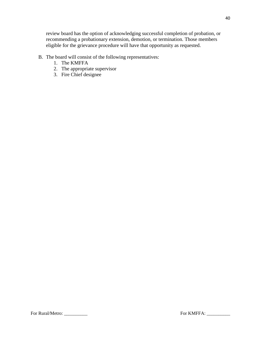review board has the option of acknowledging successful completion of probation, or recommending a probationary extension, demotion, or termination. Those members eligible for the grievance procedure will have that opportunity as requested.

- B. The board will consist of the following representatives:
	- 1. The KMFFA
	- 2. The appropriate supervisor
	- 3. Fire Chief designee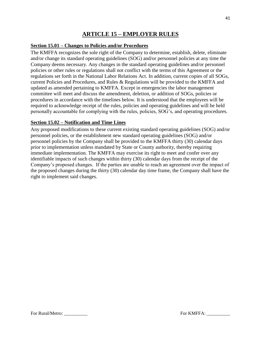# **ARTICLE 15 – EMPLOYER RULES**

#### <span id="page-40-1"></span><span id="page-40-0"></span>**Section 15.01 – Changes to Policies and/or Procedures**

The KMFFA recognizes the sole right of the Company to determine, establish, delete, eliminate and/or change its standard operating guidelines (SOG) and/or personnel policies at any time the Company deems necessary. Any changes in the standard operating guidelines and/or personnel policies or other rules or regulations shall not conflict with the terms of this Agreement or the regulations set forth in the National Labor Relations Act. In addition, current copies of all SOGs, current Policies and Procedures, and Rules & Regulations will be provided to the KMFFA and updated as amended pertaining to KMFFA. Except in emergencies the labor management committee will meet and discuss the amendment, deletion, or addition of SOGs, policies or procedures in accordance with the timelines below. It is understood that the employees will be required to acknowledge receipt of the rules, policies and operating guidelines and will be held personally accountable for complying with the rules, policies, SOG's, and operating procedures.

#### <span id="page-40-2"></span>**Section 15.02 – Notification and Time Lines**

Any proposed modifications to these current existing standard operating guidelines (SOG) and/or personnel policies, or the establishment new standard operating guidelines (SOG) and/or personnel policies by the Company shall be provided to the KMFFA thirty (30) calendar days prior to implementation unless mandated by State or County authority, thereby requiring immediate implementation. The KMFFA may exercise its right to meet and confer over any identifiable impacts of such changes within thirty (30) calendar days from the receipt of the Company's proposed changes. If the parties are unable to reach an agreement over the impact of the proposed changes during the thirty (30) calendar day time frame, the Company shall have the right to implement said changes.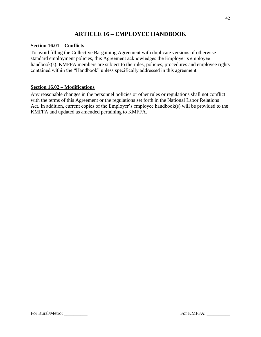# **ARTICLE 16 – EMPLOYEE HANDBOOK**

## <span id="page-41-1"></span><span id="page-41-0"></span>**Section 16.01 – Conflicts**

To avoid filling the Collective Bargaining Agreement with duplicate versions of otherwise standard employment policies, this Agreement acknowledges the Employer's employee handbook(s). KMFFA members are subject to the rules, policies, procedures and employee rights contained within the "Handbook" unless specifically addressed in this agreement.

#### <span id="page-41-2"></span>**Section 16.02 – Modifications**

Any reasonable changes in the personnel policies or other rules or regulations shall not conflict with the terms of this Agreement or the regulations set forth in the National Labor Relations Act. In addition, current copies of the Employer's employee handbook(s) will be provided to the KMFFA and updated as amended pertaining to KMFFA.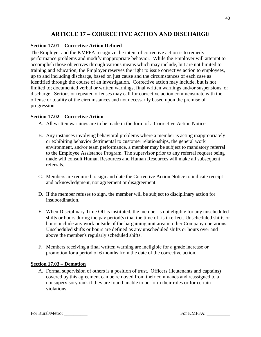# **ARTICLE 17 – CORRECTIVE ACTION AND DISCHARGE**

# <span id="page-42-1"></span><span id="page-42-0"></span>**Section 17.01 – Corrective Action Defined**

The Employer and the KMFFA recognize the intent of corrective action is to remedy performance problems and modify inappropriate behavior. While the Employer will attempt to accomplish those objectives through various means which may include, but are not limited to training and education, the Employer reserves the right to issue corrective action to employees, up to and including discharge, based on just cause and the circumstances of each case as identified through the course of an investigation. Corrective action may include, but is not limited to; documented verbal or written warnings, final written warnings and/or suspensions, or discharge. Serious or repeated offenses may call for corrective action commensurate with the offense or totality of the circumstances and not necessarily based upon the premise of progression.

# <span id="page-42-2"></span>**Section 17.02 – Corrective Action**

- A. All written warnings are to be made in the form of a Corrective Action Notice.
- B. Any instances involving behavioral problems where a member is acting inappropriately or exhibiting behavior detrimental to customer relationships, the general work environment, and/or team performance, a member may be subject to mandatory referral to the Employee Assistance Program. The supervisor prior to any referral request being made will consult Human Resources and Human Resources will make all subsequent referrals.
- C. Members are required to sign and date the Corrective Action Notice to indicate receipt and acknowledgment, not agreement or disagreement.
- D. If the member refuses to sign, the member will be subject to disciplinary action for insubordination.
- E. When Disciplinary Time Off is instituted, the member is not eligible for any unscheduled shifts or hours during the pay period(s) that the time off is in effect. Unscheduled shifts or hours include any work outside of the bargaining unit area in other Company operations. Unscheduled shifts or hours are defined as any unscheduled shifts or hours over and above the member's regularly scheduled shifts.
- F. Members receiving a final written warning are ineligible for a grade increase or promotion for a period of 6 months from the date of the corrective action.

# <span id="page-42-3"></span>**Section 17.03 – Demotion**

A. Formal supervision of others is a position of trust. Officers (lieutenants and captains) covered by this agreement can be removed from their commands and reassigned to a nonsupervisory rank if they are found unable to perform their roles or for certain violations.

For Rural/Metro: \_\_\_\_\_\_\_\_\_\_ For KMFFA: \_\_\_\_\_\_\_\_\_\_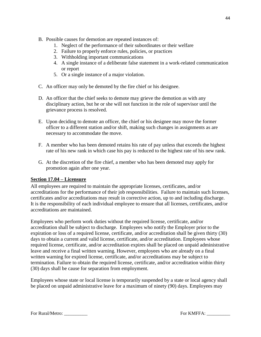- B. Possible causes for demotion are repeated instances of:
	- 1. Neglect of the performance of their subordinates or their welfare
	- 2. Failure to properly enforce rules, policies, or practices
	- 3. Withholding important communications
	- 4. A single instance of a deliberate false statement in a work-related communication or report
	- 5. Or a single instance of a major violation.
- C. An officer may only be demoted by the fire chief or his designee.
- D. An officer that the chief seeks to demote may grieve the demotion as with any disciplinary action, but he or she will not function in the role of supervisor until the grievance process is resolved.
- E. Upon deciding to demote an officer, the chief or his designee may move the former officer to a different station and/or shift, making such changes in assignments as are necessary to accommodate the move.
- F. A member who has been demoted retains his rate of pay unless that exceeds the highest rate of his new rank in which case his pay is reduced to the highest rate of his new rank.
- G. At the discretion of the fire chief, a member who has been demoted may apply for promotion again after one year.

# <span id="page-43-0"></span>**Section 17.04 – Licensure**

All employees are required to maintain the appropriate licenses, certificates, and/or accreditations for the performance of their job responsibilities. Failure to maintain such licenses, certificates and/or accreditations may result in corrective action, up to and including discharge. It is the responsibility of each individual employee to ensure that all licenses, certificates, and/or accreditations are maintained.

Employees who perform work duties without the required license, certificate, and/or accreditation shall be subject to discharge. Employees who notify the Employer prior to the expiration or loss of a required license, certificate, and/or accreditation shall be given thirty (30) days to obtain a current and valid license, certificate, and/or accreditation. Employees whose required license, certificate, and/or accreditation expires shall be placed on unpaid administrative leave and receive a final written warning. However, employees who are already on a final written warning for expired license, certificate, and/or accreditations may be subject to termination. Failure to obtain the required license, certificate, and/or accreditation within thirty (30) days shall be cause for separation from employment.

Employees whose state or local license is temporarily suspended by a state or local agency shall be placed on unpaid administrative leave for a maximum of ninety (90) days. Employees may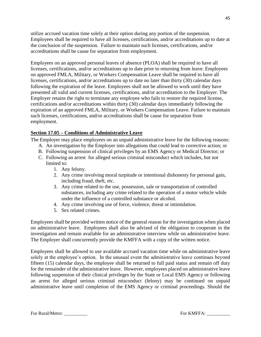utilize accrued vacation time solely at their option during any portion of the suspension. Employees shall be required to have all licenses, certifications, and/or accreditations up to date at the conclusion of the suspension. Failure to maintain such licenses, certifications, and/or accreditations shall be cause for separation from employment.

Employees on an approved personal leaves of absence (PLOA) shall be required to have all licenses, certifications, and/or accreditations up to date prior to returning from leave. Employees on approved FMLA, Military, or Workers Compensation Leave shall be required to have all licenses, certifications, and/or accreditations up to date no later than thirty (30) calendar days following the expiration of the leave. Employees shall not be allowed to work until they have presented all valid and current licenses, certifications, and/or accreditation to the Employer. The Employer retains the right to terminate any employee who fails to restore the required license, certifications and/or accreditations within thirty (30) calendar days immediately following the expiration of an approved FMLA, Military, or Workers Compensation Leave. Failure to maintain such licenses, certifications, and/or accreditations shall be cause for separation from employment.

#### <span id="page-44-0"></span>**Section 17.05 – Conditions of Administrative Leave**

The Employer may place employees on an unpaid administrative leave for the following reasons:

- A. An investigation by the Employer into allegations that could lead to corrective action; or
- B. Following suspension of clinical privileges by an EMS Agency or Medical Director; or
- C. Following an arrest for alleged serious criminal misconduct which includes, but not limited to:
	- 1. Any felony.
	- 2. Any crime involving moral turpitude or intentional dishonesty for personal gain, including fraud, theft, etc.
	- 3. Any crime related to the use, possession, sale or transportation of controlled substances, including any crime related to the operation of a motor vehicle while under the influence of a controlled substance or alcohol.
	- 4. Any crime involving use of force, violence, threat or intimidation.
	- 5. Sex related crimes.

Employees shall be provided written notice of the general reason for the investigation when placed on administrative leave. Employees shall also be advised of the obligation to cooperate in the investigation and remain available for an administrative interview while on administrative leave. The Employer shall concurrently provide the KMFFA with a copy of the written notice.

Employees shall be allowed to use available accrued vacation time while on administrative leave solely at the employee's option. In the unusual event the administrative leave continues beyond fifteen (15) calendar days, the employee shall be returned to full paid status and remain off duty for the remainder of the administrative leave. However, employees placed on administrative leave following suspension of their clinical privileges by the State or Local EMS Agency or following an arrest for alleged serious criminal misconduct (felony) may be continued on unpaid administrative leave until completion of the EMS Agency or criminal proceedings. Should the

For Rural/Metro: \_\_\_\_\_\_\_\_\_\_ For KMFFA: \_\_\_\_\_\_\_\_\_\_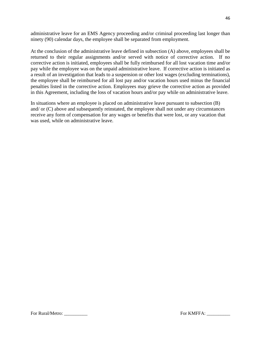administrative leave for an EMS Agency proceeding and/or criminal proceeding last longer than ninety (90) calendar days, the employee shall be separated from employment.

At the conclusion of the administrative leave defined in subsection (A) above, employees shall be returned to their regular assignments and/or served with notice of corrective action. If no corrective action is initiated, employees shall be fully reimbursed for all lost vacation time and/or pay while the employee was on the unpaid administrative leave. If corrective action is initiated as a result of an investigation that leads to a suspension or other lost wages (excluding terminations), the employee shall be reimbursed for all lost pay and/or vacation hours used minus the financial penalties listed in the corrective action. Employees may grieve the corrective action as provided in this Agreement, including the loss of vacation hours and/or pay while on administrative leave.

In situations where an employee is placed on administrative leave pursuant to subsection (B) and/ or (C) above and subsequently reinstated, the employee shall not under any circumstances receive any form of compensation for any wages or benefits that were lost, or any vacation that was used, while on administrative leave.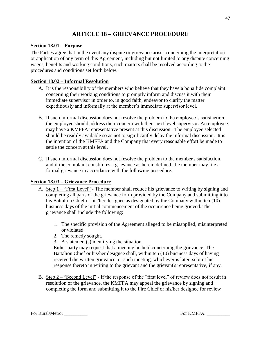# **ARTICLE 18 – GRIEVANCE PROCEDURE**

#### <span id="page-46-1"></span><span id="page-46-0"></span>**Section 18.01 – Purpose**

The Parties agree that in the event any dispute or grievance arises concerning the interpretation or application of any term of this Agreement, including but not limited to any dispute concerning wages, benefits and working conditions, such matters shall be resolved according to the procedures and conditions set forth below.

#### <span id="page-46-2"></span>**Section 18.02 – Informal Resolution**

- A. It is the responsibility of the members who believe that they have a bona fide complaint concerning their working conditions to promptly inform and discuss it with their immediate supervisor in order to, in good faith, endeavor to clarify the matter expeditiously and informally at the member's immediate supervisor level.
- B. If such informal discussion does not resolve the problem to the employee's satisfaction, the employee should address their concern with their next level supervisor. An employee may have a KMFFA representative present at this discussion. The employee selected should be readily available so as not to significantly delay the informal discussion. It is the intention of the KMFFA and the Company that every reasonable effort be made to settle the concern at this level.
- C. If such informal discussion does not resolve the problem to the member's satisfaction, and if the complaint constitutes a grievance as herein defined, the member may file a formal grievance in accordance with the following procedure.

#### <span id="page-46-3"></span>**Section 18.03 – Grievance Procedure**

- A. Step 1 "First Level" The member shall reduce his grievance to writing by signing and completing all parts of the grievance form provided by the Company and submitting it to his Battalion Chief or his/her designee as designated by the Company within ten (10) business days of the initial commencement of the occurrence being grieved. The grievance shall include the following:
	- 1. The specific provision of the Agreement alleged to be misapplied, misinterpreted or violated.
	- 2. The remedy sought.
	- 3. A statement(s) identifying the situation.

Either party may request that a meeting be held concerning the grievance. The Battalion Chief or his/her designee shall, within ten (10) business days of having received the written grievance or such meeting, whichever is later, submit his response thereto in writing to the grievant and the grievant's representative, if any.

B. Step 2 – "Second Level" - If the response of the "first level" of review does not result in resolution of the grievance, the KMFFA may appeal the grievance by signing and completing the form and submitting it to the Fire Chief or his/her designee for review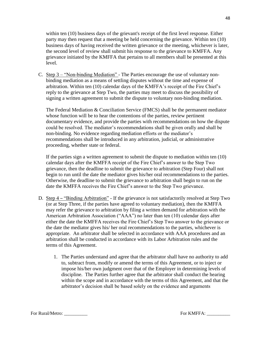within ten (10) business days of the grievant's receipt of the first level response. Either party may then request that a meeting be held concerning the grievance. Within ten (10) business days of having received the written grievance or the meeting, whichever is later, the second level of review shall submit his response to the grievance to KMFFA. Any grievance initiated by the KMFFA that pertains to all members shall be presented at this level.

C. Step 3 – "Non-binding Mediation" - The Parties encourage the use of voluntary nonbinding mediation as a means of settling disputes without the time and expense of arbitration. Within ten (10) calendar days of the KMFFA's receipt of the Fire Chief's reply to the grievance at Step Two, the parties may meet to discuss the possibility of signing a written agreement to submit the dispute to voluntary non-binding mediation.

The Federal Mediation & Conciliation Service (FMCS) shall be the permanent mediator whose function will be to hear the contentions of the parties, review pertinent documentary evidence, and provide the parties with recommendations on how the dispute could be resolved. The mediator's recommendations shall be given orally and shall be non-binding. No evidence regarding mediation efforts or the mediator's recommendations shall be introduced in any arbitration, judicial, or administrative proceeding, whether state or federal.

If the parties sign a written agreement to submit the dispute to mediation within ten (10) calendar days after the KMFFA receipt of the Fire Chief's answer to the Step Two grievance, then the deadline to submit the grievance to arbitration (Step Four) shall not begin to run until the date the mediator gives his/her oral recommendations to the parties. Otherwise, the deadline to submit the grievance to arbitration shall begin to run on the date the KMFFA receives the Fire Chief's answer to the Step Two grievance.

- D. Step 4 "Binding Arbitration" If the grievance is not satisfactorily resolved at Step Two (or at Step Three, if the parties have agreed to voluntary mediation), then the KMFFA may refer the grievance to arbitration by filing a written demand for arbitration with the American Arbitration Association ("AAA") no later than ten (10) calendar days after either the date the KMFFA receives the Fire Chief's Step Two answer to the grievance or the date the mediator gives his/ her oral recommendations to the parties, whichever is appropriate. An arbitrator shall be selected in accordance with AAA procedures and an arbitration shall be conducted in accordance with its Labor Arbitration rules and the terms of this Agreement.
	- 1. The Parties understand and agree that the arbitrator shall have no authority to add to, subtract from, modify or amend the terms of this Agreement, or to inject or impose his/her own judgment over that of the Employer in determining levels of discipline. The Parties further agree that the arbitrator shall conduct the hearing within the scope and in accordance with the terms of this Agreement, and that the arbitrator's decision shall be based solely on the evidence and arguments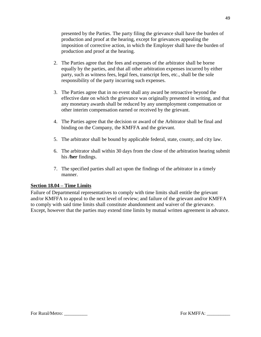presented by the Parties. The party filing the grievance shall have the burden of production and proof at the hearing, except for grievances appealing the imposition of corrective action, in which the Employer shall have the burden of production and proof at the hearing.

- 2. The Parties agree that the fees and expenses of the arbitrator shall be borne equally by the parties, and that all other arbitration expenses incurred by either party, such as witness fees, legal fees, transcript fees, etc., shall be the sole responsibility of the party incurring such expenses.
- 3. The Parties agree that in no event shall any award be retroactive beyond the effective date on which the grievance was originally presented in writing, and that any monetary awards shall be reduced by any unemployment compensation or other interim compensation earned or received by the grievant.
- 4. The Parties agree that the decision or award of the Arbitrator shall be final and binding on the Company, the KMFFA and the grievant.
- 5. The arbitrator shall be bound by applicable federal, state, county, and city law.
- 6. The arbitrator shall within 30 days from the close of the arbitration hearing submit his **/her** findings.
- 7. The specified parties shall act upon the findings of the arbitrator in a timely manner.

#### <span id="page-48-0"></span>**Section 18.04 – Time Limits**

Failure of Departmental representatives to comply with time limits shall entitle the grievant and/or KMFFA to appeal to the next level of review; and failure of the grievant and/or KMFFA to comply with said time limits shall constitute abandonment and waiver of the grievance. Except, however that the parties may extend time limits by mutual written agreement in advance.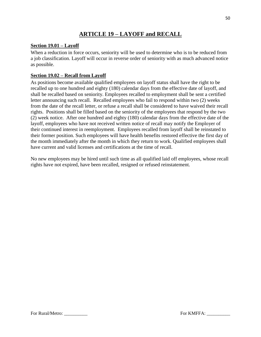# **ARTICLE 19 – LAYOFF and RECALL**

# <span id="page-49-1"></span><span id="page-49-0"></span>**Section 19.01 – Layoff**

When a reduction in force occurs, seniority will be used to determine who is to be reduced from a job classification. Layoff will occur in reverse order of seniority with as much advanced notice as possible.

# <span id="page-49-2"></span>**Section 19.02 – Recall from Layoff**

As positions become available qualified employees on layoff status shall have the right to be recalled up to one hundred and eighty (180) calendar days from the effective date of layoff, and shall be recalled based on seniority. Employees recalled to employment shall be sent a certified letter announcing such recall. Recalled employees who fail to respond within two (2) weeks from the date of the recall letter, or refuse a recall shall be considered to have waived their recall rights. Positions shall be filled based on the seniority of the employees that respond by the two (2) week notice. After one hundred and eighty (180) calendar days from the effective date of the layoff, employees who have not received written notice of recall may notify the Employer of their continued interest in reemployment. Employees recalled from layoff shall be reinstated to their former position. Such employees will have health benefits restored effective the first day of the month immediately after the month in which they return to work. Qualified employees shall have current and valid licenses and certifications at the time of recall.

No new employees may be hired until such time as all qualified laid off employees, whose recall rights have not expired, have been recalled, resigned or refused reinstatement.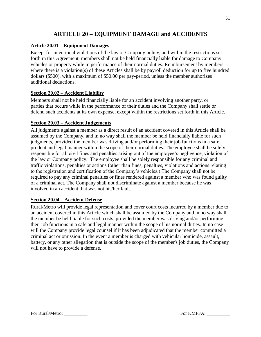# **ARTICLE 20 – EQUIPMENT DAMAGE and ACCIDENTS**

# <span id="page-50-1"></span><span id="page-50-0"></span>**Article 20.01 – Equipment Damages**

Except for intentional violations of the law or Company policy, and within the restrictions set forth in this Agreement, members shall not be held financially liable for damage to Company vehicles or property while in performance of their normal duties. Reimbursement by members where there is a violation(s) of these Articles shall be by payroll deduction for up to five hundred dollars **(**\$500), with a maximum of \$50.00 per pay-period, unless the member authorizes additional deductions.

# <span id="page-50-2"></span>**Section 20.02 – Accident Liability**

Members shall not be held financially liable for an accident involving another party, or parties that occurs while in the performance of their duties and the Company shall settle or defend such accidents at its own expense, except within the restrictions set forth in this Article.

#### <span id="page-50-3"></span>**Section 20.03 – Accident Judgements**

All judgments against a member as a direct result of an accident covered in this Article shall be assumed by the Company, and in no way shall the member be held financially liable for such judgments, provided the member was driving and/or performing their job functions in a safe, prudent and legal manner within the scope of their normal duties. The employee shall be solely responsible for all civil fines and penalties arising out of the employee's negligence, violation of the law or Company policy. The employee shall be solely responsible for any criminal and traffic violations, penalties or actions (other than fines, penalties, violations and actions relating to the registration and certification of the Company's vehicles.) The Company shall not be required to pay any criminal penalties or fines rendered against a member who was found guilty of a criminal act. The Company shall not discriminate against a member because he was involved in an accident that was not his/her fault.

#### <span id="page-50-4"></span>**Section 20.04 – Accident Defense**

Rural/Metro will provide legal representation and cover court costs incurred by a member due to an accident covered in this Article which shall be assumed by the Company and in no way shall the member be held liable for such costs, provided the member was driving and/or performing their job functions in a safe and legal manner within the scope of his normal duties. In no case will the Company provide legal counsel if it has been adjudicated that the member committed a criminal act or omission. In the event a member is charged with vehicular homicide, assault, battery, or any other allegation that is outside the scope of the member's job duties, the Company will not have to provide a defense.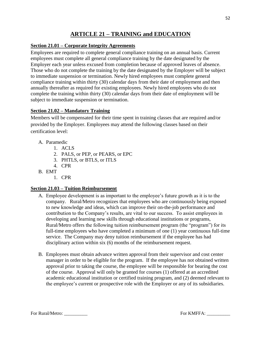# **ARTICLE 21 – TRAINING and EDUCATION**

# <span id="page-51-1"></span><span id="page-51-0"></span>**Section 21.01 – Corporate Integrity Agreements**

Employees are required to complete general compliance training on an annual basis. Current employees must complete all general compliance training by the date designated by the Employer each year unless excused from completion because of approved leaves of absence. Those who do not complete the training by the date designated by the Employer will be subject to immediate suspension or termination. Newly hired employees must complete general compliance training within thirty (30) calendar days from their date of employment and then annually thereafter as required for existing employees. Newly hired employees who do not complete the training within thirty (30) calendar days from their date of employment will be subject to immediate suspension or termination.

# <span id="page-51-2"></span>**Section 21.02 – Mandatory Training**

Members will be compensated for their time spent in training classes that are required and/or provided by the Employer. Employees may attend the following classes based on their certification level:

- A. Paramedic
	- 1. ACLS
	- 2. PALS, or PEP, or PEARS, or EPC
	- 3. PHTLS, or BTLS, or ITLS
	- 4. CPR
- B. EMT
	- 1. CPR

# <span id="page-51-3"></span>**Section 21.03 – Tuition Reimbursement**

- A. Employee development is as important to the employee's future growth as it is to the company. Rural/Metro recognizes that employees who are continuously being exposed to new knowledge and ideas, which can improve their on-the-job performance and contribution to the Company's results, are vital to our success. To assist employees in developing and learning new skills through educational institutions or programs, Rural/Metro offers the following tuition reimbursement program (the "program") for its full-time employees who have completed a minimum of one (1) year continuous full-time service. The Company may deny tuition reimbursement if the employee has had disciplinary action within six (6) months of the reimbursement request.
- B. Employees must obtain advance written approval from their supervisor and cost center manager in order to be eligible for the program. If the employee has not obtained written approval prior to taking the course, the employee will be responsible for bearing the cost of the course. Approval will only be granted for courses (1) offered at an accredited academic educational institution or certified training program, and (2) deemed relevant to the employee's current or prospective role with the Employer or any of its subsidiaries.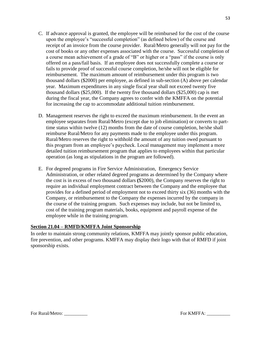- C. If advance approval is granted, the employee will be reimbursed for the cost of the course upon the employee's "successful completion" (as defined below) of the course and receipt of an invoice from the course provider. Rural/Metro generally will not pay for the cost of books or any other expenses associated with the course. Successful completion of a course mean achievement of a grade of "B" or higher or a "pass" if the course is only offered on a pass/fail basis. If an employee does not successfully complete a course or fails to provide proof of successful course completion, he/she will not be eligible for reimbursement. The maximum amount of reimbursement under this program is two thousand dollars (\$2000) per employee, as defined in sub-section (A) above per calendar year. Maximum expenditures in any single fiscal year shall not exceed twenty five thousand dollars (\$25,000). If the twenty five thousand dollars (\$25,000) cap is met during the fiscal year, the Company agrees to confer with the KMFFA on the potential for increasing the cap to accommodate additional tuition reimbursement.
- D. Management reserves the right to exceed the maximum reimbursement. In the event an employee separates from Rural/Metro (except due to job elimination) or converts to parttime status within twelve (12) months from the date of course completion, he/she shall reimburse Rural/Metro for any payments made to the employee under this program. Rural/Metro reserves the right to withhold the amount of any tuition owed pursuant to this program from an employee's paycheck. Local management may implement a more detailed tuition reimbursement program that applies to employees within that particular operation (as long as stipulations in the program are followed).
- E. For degreed programs in Fire Service Administration, Emergency Service Administration, or other related degreed programs as determined by the Company where the cost is in excess of two thousand dollars **(**\$2000), the Company reserves the right to require an individual employment contract between the Company and the employee that provides for a defined period of employment not to exceed thirty six (36) months with the Company, or reimbursement to the Company the expenses incurred by the company in the course of the training program. Such expenses may include, but not be limited to, cost of the training program materials, books, equipment and payroll expense of the employee while in the training program.

# <span id="page-52-0"></span>**Section 21.04 – RMFD/KMFFA Joint Sponsorship**

In order to maintain strong community relations, KMFFA may jointly sponsor public education, fire prevention, and other programs. KMFFA may display their logo with that of RMFD if joint sponsorship exists.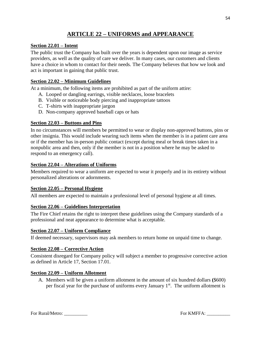# **ARTICLE 22 – UNIFORMS and APPEARANCE**

#### <span id="page-53-1"></span><span id="page-53-0"></span>**Section 22.01 – Intent**

The public trust the Company has built over the years is dependent upon our image as service providers, as well as the quality of care we deliver. In many cases, our customers and clients have a choice in whom to contact for their needs. The Company believes that how we look and act is important in gaining that public trust.

#### <span id="page-53-2"></span>**Section 22.02 – Minimum Guidelines**

At a minimum, the following items are prohibited as part of the uniform attire:

- A. Looped or dangling earrings, visible necklaces, loose bracelets
- B. Visible or noticeable body piercing and inappropriate tattoos
- C. T-shirts with inappropriate jargon
- D. Non-company approved baseball caps or hats

#### <span id="page-53-3"></span>**Section 22.03 – Buttons and Pins**

In no circumstances will members be permitted to wear or display non-approved buttons, pins or other insignia. This would include wearing such items when the member is in a patient care area or if the member has in-person public contact (except during meal or break times taken in a nonpublic area and then, only if the member is not in a position where he may be asked to respond to an emergency call).

#### <span id="page-53-4"></span>**Section 22.04 – Alterations of Uniforms**

Members required to wear a uniform are expected to wear it properly and in its entirety without personalized alterations or adornments.

#### <span id="page-53-5"></span>**Section 22.05 – Personal Hygiene**

All members are expected to maintain a professional level of personal hygiene at all times.

#### <span id="page-53-6"></span>**Section 22.06 – Guidelines Interpretation**

The Fire Chief retains the right to interpret these guidelines using the Company standards of a professional and neat appearance to determine what is acceptable.

#### <span id="page-53-7"></span>**Section 22.07 – Uniform Compliance**

If deemed necessary, supervisors may ask members to return home on unpaid time to change.

#### <span id="page-53-8"></span>**Section 22.08 – Corrective Action**

Consistent disregard for Company policy will subject a member to progressive corrective action as defined in Article 17, Section 17.01.

#### <span id="page-53-9"></span>**Section 22.09 – Uniform Allotment**

A. Members will be given a uniform allotment in the amount of six hundred dollars **(**\$600) per fiscal year for the purchase of uniforms every January  $1<sup>st</sup>$ . The uniform allotment is

For Rural/Metro: \_\_\_\_\_\_\_\_\_\_ For KMFFA: \_\_\_\_\_\_\_\_\_\_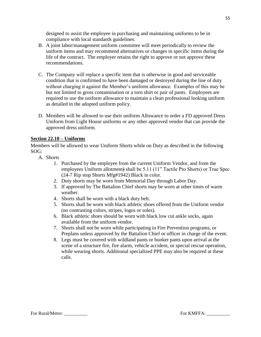designed to assist the employee in purchasing and maintaining uniforms to be in compliance with local standards guidelines.

- B. A joint labor/management uniform committee will meet periodically to review the uniform items and may recommend alternatives or changes in specific items during the life of the contract. The employer retains the right to approve or not approve these recommendations.
- C. The Company will replace a specific item that is otherwise in good and serviceable condition that is confirmed to have been damaged or destroyed during the line of duty without charging it against the Member's uniform allowance. Examples of this may be but not limited to gross contamination or a torn shirt or pair of pants. Employees are required to use the uniform allowance to maintain a clean professional looking uniform as detailed in the adopted uniform policy.
- D. Members will be allowed to use their uniform Allowance to order a FD approved Dress Uniform from Light House uniforms or any other approved vendor that can provide the approved dress uniform.

#### <span id="page-54-0"></span>**Section 22.10 – Uniforms**

Members will be allowed to wear Uniform Shorts while on Duty as described in the following SOG:

- A. Shorts
	- 1. Purchased by the employee from the current Uniform Vendor, and from the employees Uniform allotment) shall be 5.11 (11" Tactile Pro Shorts) or True Spec (24-7 Rip stop Shorts Mfg#1942) Black in color.
	- 2. Duty shorts may be worn from Memorial Day through Labor Day.
	- 3. If approved by The Battalion Chief shorts may be worn at other times of warm weather.
	- 4. Shorts shall be worn with a black duty belt.
	- 5. Shorts shall be worn with black athletic shoes offered from the Uniform vendor (no contrasting colors, stripes, logos or soles).
	- 6. Black athletic shoes should be worn with black low cut ankle socks, again available from the uniform vendor.
	- 7. Shorts shall not be worn while participating in Fire Prevention programs, or Preplans unless approved by the Battalion Chief or officer in charge of the event.
	- 8. Legs must be covered with wildland pants or bunker pants upon arrival at the scene of a structure fire, fire alarm, vehicle accident, or special rescue operation, while wearing shorts. Additional specialized PPE may also be required at these calls.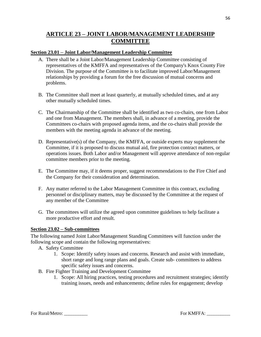# <span id="page-55-0"></span>**ARTICLE 23 – JOINT LABOR/MANAGEMENT LEADERSHIP COMMITTEE**

#### <span id="page-55-1"></span>**Section 23.01 – Joint Labor/Management Leadership Committee**

- A. There shall be a Joint Labor/Management Leadership Committee consisting of representatives of the KMFFA and representatives of the Company's Knox County Fire Division. The purpose of the Committee is to facilitate improved Labor/Management relationships by providing a forum for the free discussion of mutual concerns and problems.
- B. The Committee shall meet at least quarterly, at mutually scheduled times, and at any other mutually scheduled times.
- C. The Chairmanship of the Committee shall be identified as two co-chairs, one from Labor and one from Management. The members shall, in advance of a meeting, provide the Committees co-chairs with proposed agenda items, and the co-chairs shall provide the members with the meeting agenda in advance of the meeting.
- D. Representative(s) of the Company, the KMFFA, or outside experts may supplement the Committee, if it is proposed to discuss mutual aid, fire protection contract matters, or operations issues. Both Labor and/or Management will approve attendance of non-regular committee members prior to the meeting.
- E. The Committee may, if it deems proper, suggest recommendations to the Fire Chief and the Company for their consideration and determination.
- F. Any matter referred to the Labor Management Committee in this contract, excluding personnel or disciplinary matters, may be discussed by the Committee at the request of any member of the Committee
- G. The committees will utilize the agreed upon committee guidelines to help facilitate a more productive effort and result.

#### <span id="page-55-2"></span>**Section 23.02 – Sub-committees**

The following named Joint Labor/Management Standing Committees will function under the following scope and contain the following representatives:

- A. Safety Committee
	- 1. Scope: Identify safety issues and concerns. Research and assist with immediate, short range and long range plans and goals. Create sub- committees to address specific safety issues and concerns.
- B. Fire Fighter Training and Development Committee
	- 1. Scope: All hiring practices, testing procedures and recruitment strategies; identify training issues, needs and enhancements; define rules for engagement; develop

For Rural/Metro: \_\_\_\_\_\_\_\_\_\_ For KMFFA: \_\_\_\_\_\_\_\_\_\_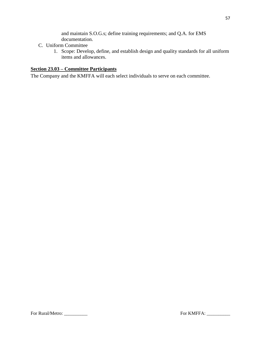and maintain S.O.G.s; define training requirements; and Q.A. for EMS documentation.

- C. Uniform Committee
	- 1. Scope: Develop, define, and establish design and quality standards for all uniform items and allowances.

# <span id="page-56-0"></span>**Section 23.03 – Committee Participants**

The Company and the KMFFA will each select individuals to serve on each committee.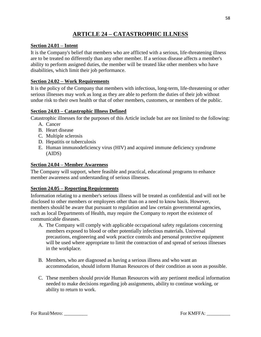# **ARTICLE 24 – CATASTROPHIC ILLNESS**

# <span id="page-57-1"></span><span id="page-57-0"></span>**Section 24.01 – Intent**

It is the Company's belief that members who are afflicted with a serious, life-threatening illness are to be treated no differently than any other member. If a serious disease affects a member's ability to perform assigned duties, the member will be treated like other members who have disabilities, which limit their job performance.

#### <span id="page-57-2"></span>**Section 24.02 – Work Requirements**

It is the policy of the Company that members with infectious, long-term, life-threatening or other serious illnesses may work as long as they are able to perform the duties of their job without undue risk to their own health or that of other members, customers, or members of the public.

#### <span id="page-57-3"></span>**Section 24.03 – Catastrophic Illness Defined**

Catastrophic illnesses for the purposes of this Article include but are not limited to the following:

- A. Cancer
- B. Heart disease
- C. Multiple sclerosis
- D. Hepatitis or tuberculosis
- E. Human immunodeficiency virus (HIV) and acquired immune deficiency syndrome (AIDS)

#### <span id="page-57-4"></span>**Section 24.04 – Member Awareness**

The Company will support, where feasible and practical, educational programs to enhance member awareness and understanding of serious illnesses.

# <span id="page-57-5"></span>**Section 24.05 – Reporting Requirements**

Information relating to a member's serious illness will be treated as confidential and will not be disclosed to other members or employees other than on a need to know basis. However, members should be aware that pursuant to regulation and law certain governmental agencies, such as local Departments of Health, may require the Company to report the existence of communicable diseases.

- A. The Company will comply with applicable occupational safety regulations concerning members exposed to blood or other potentially infectious materials. Universal precautions, engineering and work practice controls and personal protective equipment will be used where appropriate to limit the contraction of and spread of serious illnesses in the workplace.
- B. Members, who are diagnosed as having a serious illness and who want an accommodation, should inform Human Resources of their condition as soon as possible.
- C. These members should provide Human Resources with any pertinent medical information needed to make decisions regarding job assignments, ability to continue working, or ability to return to work.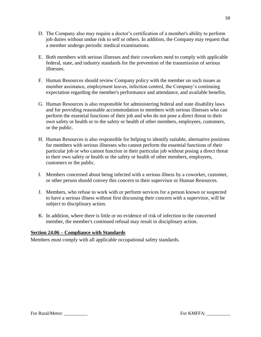- D. The Company also may require a doctor's certification of a member's ability to perform job duties without undue risk to self or others. In addition, the Company may request that a member undergo periodic medical examinations.
- E. Both members with serious illnesses and their coworkers need to comply with applicable federal, state, and industry standards for the prevention of the transmission of serious illnesses.
- F. Human Resources should review Company policy with the member on such issues as member assistance, employment leaves, infection control, the Company's continuing expectation regarding the member's performance and attendance, and available benefits.
- G. Human Resources is also responsible for administering federal and state disability laws and for providing reasonable accommodation to members with serious illnesses who can perform the essential functions of their job and who do not pose a direct threat to their own safety or health or to the safety or health of other members, employees, customers, or the public.
- H. Human Resources is also responsible for helping to identify suitable, alternative positions for members with serious illnesses who cannot perform the essential functions of their particular job or who cannot function in their particular job without posing a direct threat to their own safety or health or the safety or health of other members, employees, customers or the public.
- I. Members concerned about being infected with a serious illness by a coworker, customer, or other person should convey this concern to their supervisor or Human Resources.
- J. Members, who refuse to work with or perform services for a person known or suspected to have a serious illness without first discussing their concern with a supervisor, will be subject to disciplinary action.
- K. In addition, where there is little or no evidence of risk of infection to the concerned member, the member's continued refusal may result in disciplinary action.

# <span id="page-58-0"></span>**Section 24.06 – Compliance with Standards**

Members must comply with all applicable occupational safety standards.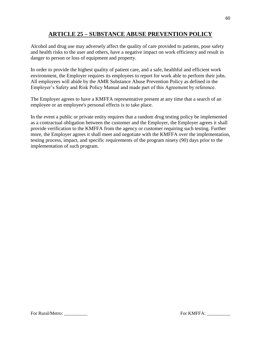# **ARTICLE 25 – SUBSTANCE ABUSE PREVENTION POLICY**

<span id="page-59-0"></span>Alcohol and drug use may adversely affect the quality of care provided to patients, pose safety and health risks to the user and others, have a negative impact on work efficiency and result in danger to person or loss of equipment and property.

In order to provide the highest quality of patient care, and a safe, healthful and efficient work environment, the Employer requires its employees to report for work able to perform their jobs. All employees will abide by the AMR Substance Abuse Prevention Policy as defined in the Employer's Safety and Risk Policy Manual and made part of this Agreement by reference.

The Employer agrees to have a KMFFA representative present at any time that a search of an employee or an employee's personal effects is to take place.

In the event a public or private entity requires that a random drug testing policy be implemented as a contractual obligation between the customer and the Employer, the Employer agrees it shall provide verification to the KMFFA from the agency or customer requiring such testing. Further more, the Employer agrees it shall meet and negotiate with the KMFFA over the implementation, testing process, impact, and specific requirements of the program ninety (90) days prior to the implementation of such program.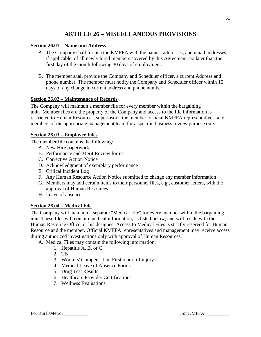# **ARTICLE 26 – MISCELLANEOUS PROVISIONS**

## <span id="page-60-1"></span><span id="page-60-0"></span>**Section 26.01 – Name and Address**

- A. The Company shall furnish the KMFFA with the names, addresses, and email addresses, if applicable, of all newly hired members covered by this Agreement, no later than the first day of the month following 30 days of employment.
- B. The member shall provide the Company and Scheduler officer, a current Address and phone number. The member must notify the Company and Scheduler officer within 15 days of any change in current address and phone number.

#### <span id="page-60-2"></span>**Section 26.02 – Maintenance of Records**

The Company will maintain a member file for every member within the bargaining unit. Member files are the property of the Company and access to the file information is restricted to Human Resources, supervisors, the member, official KMFFA representatives, and members of the appropriate management team for a specific business review purpose only.

#### <span id="page-60-3"></span>**Section 26.03 – Employee Files**

The member file contains the following:

- A. New Hire paperwork
- B. Performance and Merit Review forms
- C. Corrective Action Notice
- D. Acknowledgment of exemplary performance
- E. Critical Incident Log
- F. Any Human Resource Action Notice submitted to change any member information
- G. Members may add certain items to their personnel files, e.g., customer letters, with the approval of Human Resources.
- H. Leave of absence

# <span id="page-60-4"></span>**Section 26.04 – Medical File**

The Company will maintain a separate "Medical File" for every member within the bargaining unit. These files will contain medical information, as listed below, and will reside with the Human Resource Office, or his designee. Access to Medical Files is strictly reserved for Human Resource and the member. Official KMFFA representatives and management may receive access during authorized investigations only with approval of Human Resources.

A. Medical Files may contain the following information:

- 1. Hepatitis A, B, or C
- 2. TB
- 3. Workers' Compensation First report of injury
- 4. Medical Leave of Absence Forms
- 5. Drug Test Results
- 6. Healthcare Provider Certifications
- 7. Wellness Evaluations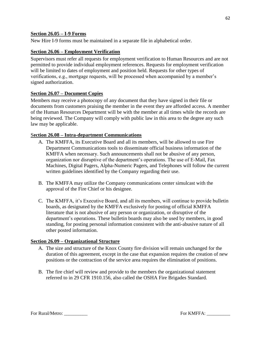#### <span id="page-61-0"></span>**Section 26.05 – I-9 Forms**

New Hire I-9 forms must be maintained in a separate file in alphabetical order.

#### <span id="page-61-1"></span>**Section 26.06 – Employment Verification**

Supervisors must refer all requests for employment verification to Human Resources and are not permitted to provide individual employment references. Requests for employment verification will be limited to dates of employment and position held. Requests for other types of verifications, e.g., mortgage requests, will be processed when accompanied by a member's signed authorization.

#### <span id="page-61-2"></span>**Section 26.07 – Document Copies**

Members may receive a photocopy of any document that they have signed in their file or documents from customers praising the member in the event they are afforded access. A member of the Human Resources Department will be with the member at all times while the records are being reviewed. The Company will comply with public law in this area to the degree any such law may be applicable.

#### <span id="page-61-3"></span>S**ection 26.08 – Intra-department Communications**

- A. The KMFFA, its Executive Board and all its members, will be allowed to use Fire Department Communications tools to disseminate official business information of the KMFFA when necessary. Such announcements shall not be abusive of any person, organization nor disruptive of the department's operations. The use of E-Mail, Fax Machines, Digital Pagers, Alpha-Numeric Pagers, and Telephones will follow the current written guidelines identified by the Company regarding their use.
- B. The KMFFA may utilize the Company communications center simulcast with the approval of the Fire Chief or his designee.
- C. The KMFFA, it's Executive Board, and all its members, will continue to provide bulletin boards, as designated by the KMFFA exclusively for posting of official KMFFA literature that is not abusive of any person or organization, or disruptive of the department's operations. These bulletin boards may also be used by members, in good standing, for posting personal information consistent with the anti-abusive nature of all other posted information.

#### <span id="page-61-4"></span>**Section 26.09 – Organizational Structure**

- A. The size and structure of the Knox County fire division will remain unchanged for the duration of this agreement, except in the case that expansion requires the creation of new positions or the contraction of the service area requires the elimination of positions.
- B. The fire chief will review and provide to the members the organizational statement referred to in 29 CFR 1910.156, also called the OSHA Fire Brigades Standard.

62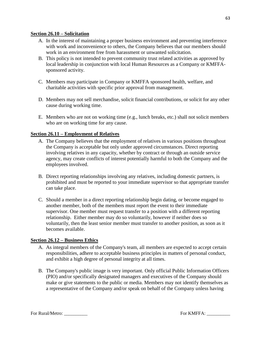#### <span id="page-62-0"></span>**Section 26.10 – Solicitation**

- A. In the interest of maintaining a proper business environment and preventing interference with work and inconvenience to others, the Company believes that our members should work in an environment free from harassment or unwanted solicitation.
- B. This policy is not intended to prevent community trust related activities as approved by local leadership in conjunction with local Human Resources as a Company or KMFFAsponsored activity.
- C. Members may participate in Company or KMFFA sponsored health, welfare, and charitable activities with specific prior approval from management.
- D. Members may not sell merchandise, solicit financial contributions, or solicit for any other cause during working time.
- E. Members who are not on working time (e.g., lunch breaks, etc.) shall not solicit members who are on working time for any cause.

#### <span id="page-62-1"></span>**Section 26.11 – Employment of Relatives**

- A. The Company believes that the employment of relatives in various positions throughout the Company is acceptable but only under approved circumstances. Direct reporting involving relatives in any capacity, whether by contract or through an outside service agency, may create conflicts of interest potentially harmful to both the Company and the employees involved.
- B. Direct reporting relationships involving any relatives, including domestic partners, is prohibited and must be reported to your immediate supervisor so that appropriate transfer can take place.
- C. Should a member in a direct reporting relationship begin dating, or become engaged to another member, both of the members must report the event to their immediate supervisor. One member must request transfer to a position with a different reporting relationship. Either member may do so voluntarily, however if neither does so voluntarily, then the least senior member must transfer to another position, as soon as it becomes available.

#### <span id="page-62-2"></span>**Section 26.12 – Business Ethics**

- A. As integral members of the Company's team, all members are expected to accept certain responsibilities, adhere to acceptable business principles in matters of personal conduct, and exhibit a high degree of personal integrity at all times.
- B. The Company's public image is very important. Only official Public Information Officers (PIO) and/or specifically designated managers and executives of the Company should make or give statements to the public or media. Members may not identify themselves as a representative of the Company and/or speak on behalf of the Company unless having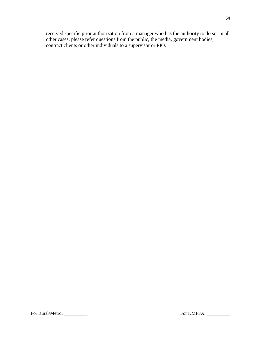received specific prior authorization from a manager who has the authority to do so. In all other cases, please refer questions from the public, the media, government bodies, contract clients or other individuals to a supervisor or PIO.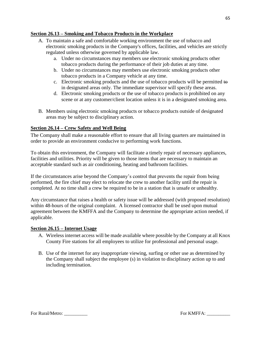# <span id="page-64-0"></span>**Section 26.13 – Smoking and Tobacco Products in the Workplace**

- A. To maintain a safe and comfortable working environment the use of tobacco and electronic smoking products in the Company's offices, facilities, and vehicles are strictly regulated unless otherwise governed by applicable law.
	- a. Under no circumstances may members use electronic smoking products other tobacco products during the performance of their job duties at any time.
	- b. Under no circumstances may members use electronic smoking products other tobacco products in a Company vehicle at any time.
	- c. Electronic smoking products and the use of tobacco products will be permitted to in designated areas only. The immediate supervisor will specify these areas.
	- d. Electronic smoking products or the use of tobacco products is prohibited on any scene or at any customer/client location unless it is in a designated smoking area.
- B. Members using electronic smoking products or tobacco products outside of designated areas may be subject to disciplinary action.

# <span id="page-64-1"></span>**Section 26.14 – Crew Safety and Well Being**

The Company shall make a reasonable effort to ensure that all living quarters are maintained in order to provide an environment conducive to performing work functions.

To obtain this environment, the Company will facilitate a timely repair of necessary appliances, facilities and utilities. Priority will be given to those items that are necessary to maintain an acceptable standard such as air conditioning, heating and bathroom facilities.

If the circumstances arise beyond the Company's control that prevents the repair from being performed, the fire chief may elect to relocate the crew to another facility until the repair is completed. At no time shall a crew be required to be in a station that is unsafe or unhealthy.

Any circumstance that raises a health or safety issue will be addressed (with proposed resolution) within 48-hours of the original complaint. A licensed contractor shall be used upon mutual agreement between the KMFFA and the Company to determine the appropriate action needed, if applicable.

#### <span id="page-64-2"></span>**Section 26.15 – Internet Usage**

- A. Wireless internet access will be made available where possible by the Company at all Knox County Fire stations for all employees to utilize for professional and personal usage.
- B. Use of the internet for any inappropriate viewing, surfing or other use as determined by the Company shall subject the employee (s) in violation to disciplinary action up to and including termination.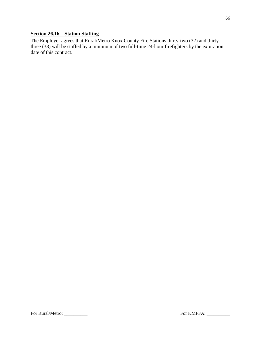# <span id="page-65-0"></span>**Section 26.16 – Station Staffing**

The Employer agrees that Rural/Metro Knox County Fire Stations thirty-two (32) and thirtythree (33) will be staffed by a minimum of two full-time 24-hour firefighters by the expiration date of this contract.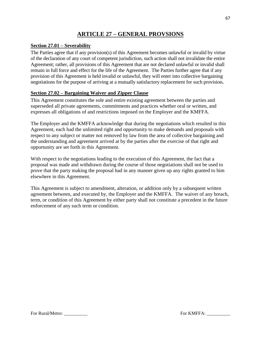# **ARTICLE 27 – GENERAL PROVSIONS**

## <span id="page-66-1"></span><span id="page-66-0"></span>**Section 27.01 – Severability**

The Parties agree that if any provision(s) of this Agreement becomes unlawful or invalid by virtue of the declaration of any court of competent jurisdiction, such action shall not invalidate the entire Agreement; rather, all provisions of this Agreement that are not declared unlawful or invalid shall remain in full force and effect for the life of the Agreement. The Parties further agree that if any provision of this Agreement is held invalid or unlawful, they will enter into collective bargaining negotiations for the purpose of arriving at a mutually satisfactory replacement for such provision**.**

#### <span id="page-66-2"></span>**Section 27.02 – Bargaining Waiver and Zipper Clause**

This Agreement constitutes the sole and entire existing agreement between the parties and superseded all private agreements, commitments and practices whether oral or written, and expresses all obligations of and restrictions imposed on the Employer and the KMFFA.

The Employer and the KMFFA acknowledge that during the negotiations which resulted in this Agreement, each had the unlimited right and opportunity to make demands and proposals with respect to any subject or matter not removed by law from the area of collective bargaining and the understanding and agreement arrived at by the parties after the exercise of that right and opportunity are set forth in this Agreement.

With respect to the negotiations leading to the execution of this Agreement, the fact that a proposal was made and withdrawn during the course of those negotiations shall not be used to prove that the party making the proposal had in any manner given up any rights granted to him elsewhere in this Agreement.

This Agreement is subject to amendment, alteration, or addition only by a subsequent written agreement between, and executed by, the Employer and the KMFFA. The waiver of any breach, term, or condition of this Agreement by either party shall not constitute a precedent in the future enforcement of any such term or condition.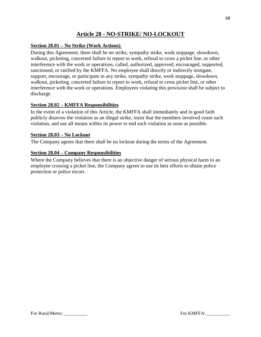# **Article 28 - NO-STRIKE/ NO-LOCKOUT**

# <span id="page-67-1"></span><span id="page-67-0"></span>**Section 28.01 – No Strike (Work Actions)**

During this Agreement, there shall be no strike, sympathy strike, work stoppage, slowdown, walkout, picketing, concerted failure to report to work, refusal to cross a picket line, or other interference with the work or operations, called, authorized, approved, encouraged, supported, sanctioned, or ratified by the KMFFA. No employee shall directly or indirectly instigate, support, encourage, or participate in any strike, sympathy strike, work stoppage, slowdown, walkout, picketing, concerted failure to report to work, refusal to cross picket line, or other interference with the work or operations. Employees violating this provision shall be subject to discharge.

#### <span id="page-67-2"></span>**Section 28.02 – KMFFA Responsibilities**

In the event of a violation of this Article, the KMFFA shall immediately and in good faith publicly disavow the violation as an illegal strike, insist that the members involved cease such violation, and use all means within its power to end such violation as soon as possible.

#### <span id="page-67-3"></span>**Section 28.03 – No Lockout**

The Company agrees that there shall be no lockout during the terms of the Agreement.

#### <span id="page-67-4"></span>**Section 28.04 – Company Responsibilities**

Where the Company believes that there is an objective danger of serious physical harm to an employee crossing a picket line, the Company agrees to use its best efforts to obtain police protection or police escort.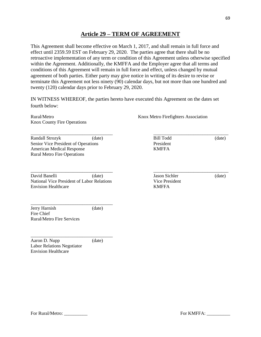# **Article 29 – TERM OF AGREEMENT**

<span id="page-68-0"></span>This Agreement shall become effective on March 1, 2017, and shall remain in full force and effect until 2359.59 EST on February 29, 2020. The parties agree that there shall be no retroactive implementation of any term or condition of this Agreement unless otherwise specified within the Agreement. Additionally, the KMFFA and the Employer agree that all terms and conditions of this Agreement will remain in full force and effect, unless changed by mutual agreement of both parties. Either party may give notice in writing of its desire to revise or terminate this Agreement not less ninety (90) calendar days, but not more than one hundred and twenty (120) calendar days prior to February 29, 2020.

IN WITNESS WHEREOF, the parties hereto have executed this Agreement on the dates set fourth below:

\_\_\_\_\_\_\_\_\_\_\_\_\_\_\_\_\_\_\_\_\_\_\_\_\_\_\_\_\_\_\_\_\_\_\_ \_\_\_\_\_\_\_\_\_\_\_\_\_\_\_\_\_\_\_\_\_\_\_\_\_\_\_\_\_\_\_\_

Knox County Fire Operations

Randall Strozyk (date) Bill Todd (date) (date) Senior Vice President of Operations President American Medical Response KMFFA Rural Metro Fire Operations

David Banelli (date) Jason Sichler (date) National Vice President of Labor Relations Vice President Envision Healthcare KMFFA

\_\_\_\_\_\_\_\_\_\_\_\_\_\_\_\_\_\_\_\_\_\_\_\_\_\_\_\_\_\_\_\_\_\_\_

Rural/Metro **Knox Metro Firefighters** Association

\_\_\_\_\_\_\_\_\_\_\_\_\_\_\_\_\_\_\_\_\_\_\_\_\_\_\_\_\_\_\_\_\_\_\_ \_\_\_\_\_\_\_\_\_\_\_\_\_\_\_\_\_\_\_\_\_\_\_\_\_\_\_\_\_\_\_\_

Jerry Harnish (date) Fire Chief Rural/Metro Fire Services

\_\_\_\_\_\_\_\_\_\_\_\_\_\_\_\_\_\_\_\_\_\_\_\_\_\_\_\_\_\_\_\_\_\_\_ Aaron D. Nupp (date) Labor Relations Negotiator Envision Healthcare